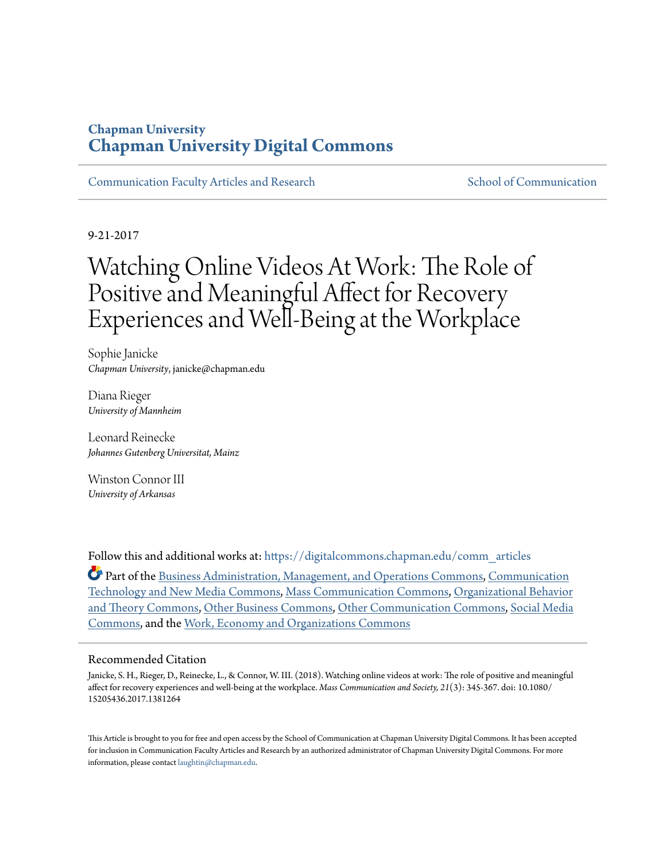# **Chapman University [Chapman University Digital Commons](https://digitalcommons.chapman.edu?utm_source=digitalcommons.chapman.edu%2Fcomm_articles%2F50&utm_medium=PDF&utm_campaign=PDFCoverPages)**

[Communication Faculty Articles and Research](https://digitalcommons.chapman.edu/comm_articles?utm_source=digitalcommons.chapman.edu%2Fcomm_articles%2F50&utm_medium=PDF&utm_campaign=PDFCoverPages) [School of Communication](https://digitalcommons.chapman.edu/communication?utm_source=digitalcommons.chapman.edu%2Fcomm_articles%2F50&utm_medium=PDF&utm_campaign=PDFCoverPages)

9-21-2017

# Watching Online Videos At Work: The Role of Positive and Meaningful Affect for Recovery Experiences and Well-Being at the Workplace

Sophie Janicke *Chapman University*, janicke@chapman.edu

Diana Rieger *University of Mannheim*

Leonard Reinecke *Johannes Gutenberg Universitat, Mainz*

Winston Connor III *University of Arkansas*

Follow this and additional works at: [https://digitalcommons.chapman.edu/comm\\_articles](https://digitalcommons.chapman.edu/comm_articles?utm_source=digitalcommons.chapman.edu%2Fcomm_articles%2F50&utm_medium=PDF&utm_campaign=PDFCoverPages)

Part of the [Business Administration, Management, and Operations Commons](http://network.bepress.com/hgg/discipline/623?utm_source=digitalcommons.chapman.edu%2Fcomm_articles%2F50&utm_medium=PDF&utm_campaign=PDFCoverPages), [Communication](http://network.bepress.com/hgg/discipline/327?utm_source=digitalcommons.chapman.edu%2Fcomm_articles%2F50&utm_medium=PDF&utm_campaign=PDFCoverPages) [Technology and New Media Commons,](http://network.bepress.com/hgg/discipline/327?utm_source=digitalcommons.chapman.edu%2Fcomm_articles%2F50&utm_medium=PDF&utm_campaign=PDFCoverPages) [Mass Communication Commons,](http://network.bepress.com/hgg/discipline/334?utm_source=digitalcommons.chapman.edu%2Fcomm_articles%2F50&utm_medium=PDF&utm_campaign=PDFCoverPages) [Organizational Behavior](http://network.bepress.com/hgg/discipline/639?utm_source=digitalcommons.chapman.edu%2Fcomm_articles%2F50&utm_medium=PDF&utm_campaign=PDFCoverPages) [and Theory Commons,](http://network.bepress.com/hgg/discipline/639?utm_source=digitalcommons.chapman.edu%2Fcomm_articles%2F50&utm_medium=PDF&utm_campaign=PDFCoverPages) [Other Business Commons,](http://network.bepress.com/hgg/discipline/647?utm_source=digitalcommons.chapman.edu%2Fcomm_articles%2F50&utm_medium=PDF&utm_campaign=PDFCoverPages) [Other Communication Commons,](http://network.bepress.com/hgg/discipline/339?utm_source=digitalcommons.chapman.edu%2Fcomm_articles%2F50&utm_medium=PDF&utm_campaign=PDFCoverPages) [Social Media](http://network.bepress.com/hgg/discipline/1249?utm_source=digitalcommons.chapman.edu%2Fcomm_articles%2F50&utm_medium=PDF&utm_campaign=PDFCoverPages) [Commons,](http://network.bepress.com/hgg/discipline/1249?utm_source=digitalcommons.chapman.edu%2Fcomm_articles%2F50&utm_medium=PDF&utm_campaign=PDFCoverPages) and the [Work, Economy and Organizations Commons](http://network.bepress.com/hgg/discipline/433?utm_source=digitalcommons.chapman.edu%2Fcomm_articles%2F50&utm_medium=PDF&utm_campaign=PDFCoverPages)

#### Recommended Citation

Janicke, S. H., Rieger, D., Reinecke, L., & Connor, W. III. (2018). Watching online videos at work: The role of positive and meaningful affect for recovery experiences and well-being at the workplace. *Mass Communication and Society, 21*(3): 345-367. doi: 10.1080/ 15205436.2017.1381264

This Article is brought to you for free and open access by the School of Communication at Chapman University Digital Commons. It has been accepted for inclusion in Communication Faculty Articles and Research by an authorized administrator of Chapman University Digital Commons. For more information, please contact [laughtin@chapman.edu](mailto:laughtin@chapman.edu).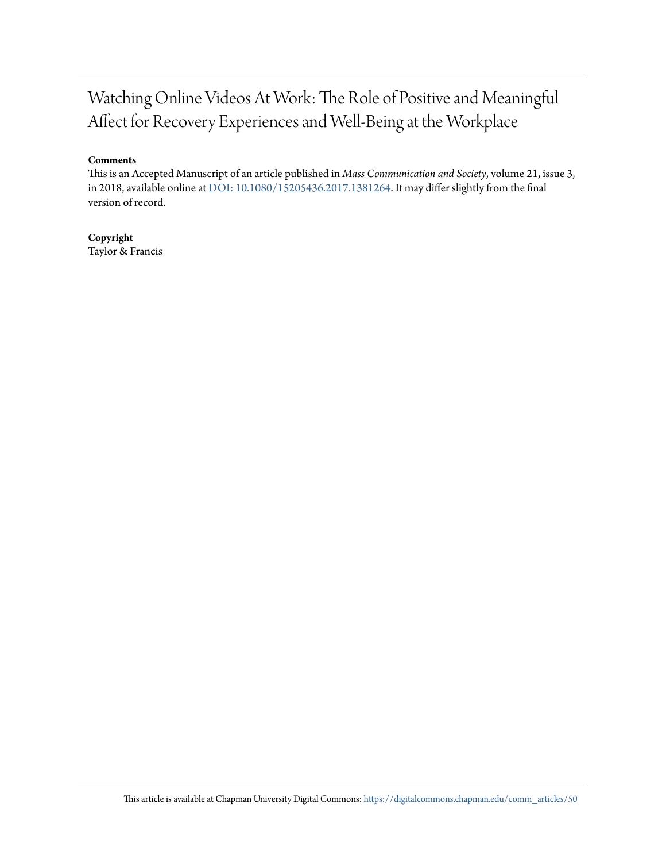# Watching Online Videos At Work: The Role of Positive and Meaningful Affect for Recovery Experiences and Well-Being at the Workplace

#### **Comments**

This is an Accepted Manuscript of an article published in *Mass Communication and Society*, volume 21, issue 3, in 2018, available online at [DOI: 10.1080/15205436.2017.1381264](https://doi.org/10.1080/15205436.2017.1381264). It may differ slightly from the final version of record.

**Copyright** Taylor & Francis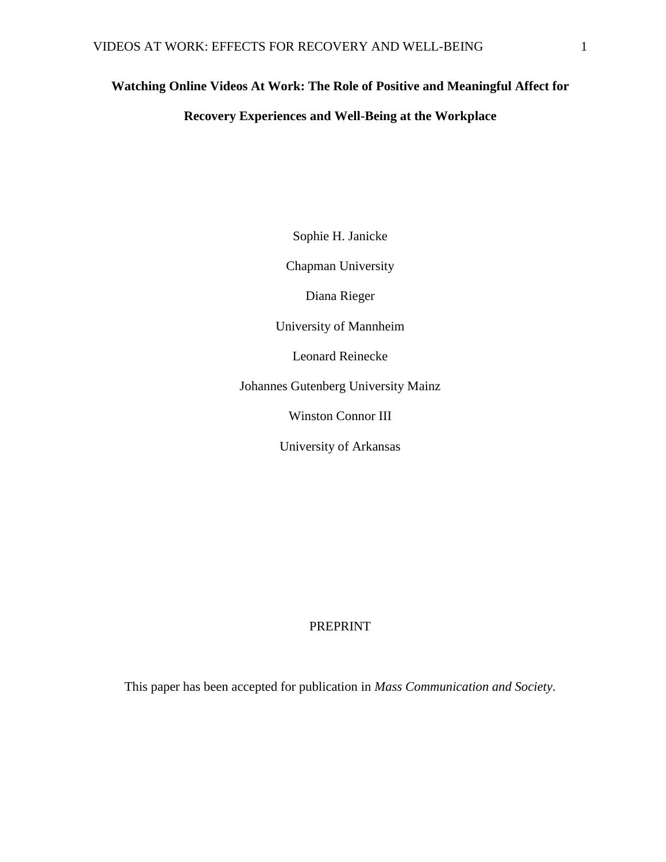# **Watching Online Videos At Work: The Role of Positive and Meaningful Affect for**

## **Recovery Experiences and Well-Being at the Workplace**

Sophie H. Janicke

Chapman University

Diana Rieger

University of Mannheim

Leonard Reinecke

Johannes Gutenberg University Mainz

Winston Connor III

University of Arkansas

#### PREPRINT

This paper has been accepted for publication in *Mass Communication and Society*.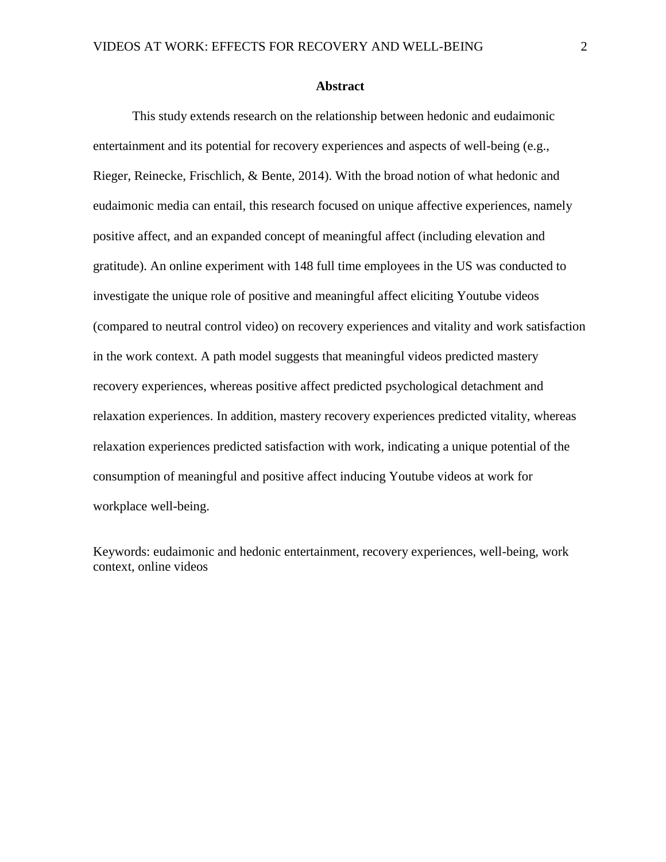#### **Abstract**

This study extends research on the relationship between hedonic and eudaimonic entertainment and its potential for recovery experiences and aspects of well-being (e.g., Rieger, Reinecke, Frischlich, & Bente, 2014). With the broad notion of what hedonic and eudaimonic media can entail, this research focused on unique affective experiences, namely positive affect, and an expanded concept of meaningful affect (including elevation and gratitude). An online experiment with 148 full time employees in the US was conducted to investigate the unique role of positive and meaningful affect eliciting Youtube videos (compared to neutral control video) on recovery experiences and vitality and work satisfaction in the work context. A path model suggests that meaningful videos predicted mastery recovery experiences, whereas positive affect predicted psychological detachment and relaxation experiences. In addition, mastery recovery experiences predicted vitality, whereas relaxation experiences predicted satisfaction with work, indicating a unique potential of the consumption of meaningful and positive affect inducing Youtube videos at work for workplace well-being.

Keywords: eudaimonic and hedonic entertainment, recovery experiences, well-being, work context, online videos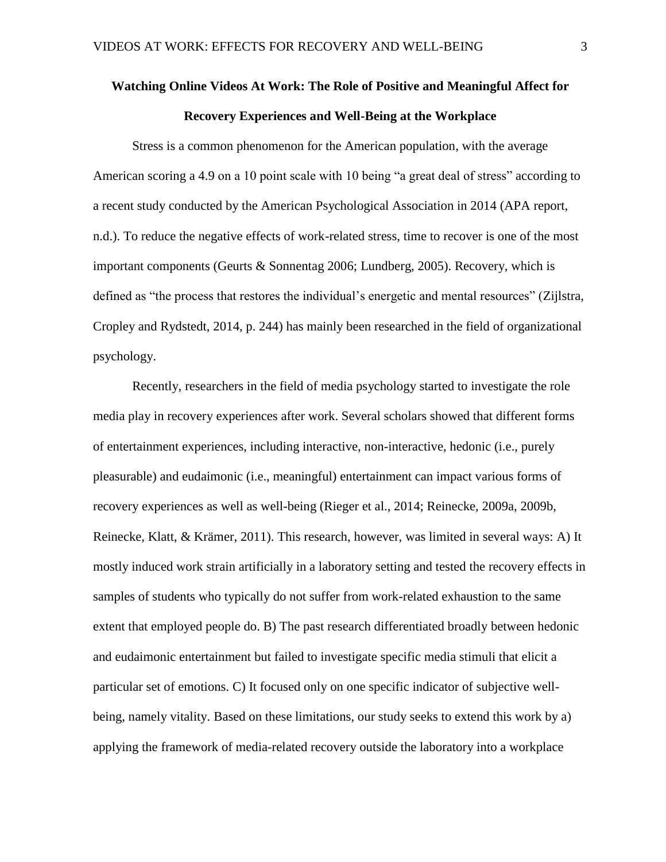# **Watching Online Videos At Work: The Role of Positive and Meaningful Affect for Recovery Experiences and Well-Being at the Workplace**

Stress is a common phenomenon for the American population, with the average American scoring a 4.9 on a 10 point scale with 10 being "a great deal of stress" according to a recent study conducted by the American Psychological Association in 2014 (APA report, n.d.). To reduce the negative effects of work-related stress, time to recover is one of the most important components (Geurts & Sonnentag 2006; Lundberg, 2005). Recovery, which is defined as "the process that restores the individual's energetic and mental resources" (Zijlstra, Cropley and Rydstedt, 2014, p. 244) has mainly been researched in the field of organizational psychology.

Recently, researchers in the field of media psychology started to investigate the role media play in recovery experiences after work. Several scholars showed that different forms of entertainment experiences, including interactive, non-interactive, hedonic (i.e., purely pleasurable) and eudaimonic (i.e., meaningful) entertainment can impact various forms of recovery experiences as well as well-being (Rieger et al., 2014; Reinecke, 2009a, 2009b, Reinecke, Klatt, & Krämer, 2011). This research, however, was limited in several ways: A) It mostly induced work strain artificially in a laboratory setting and tested the recovery effects in samples of students who typically do not suffer from work-related exhaustion to the same extent that employed people do. B) The past research differentiated broadly between hedonic and eudaimonic entertainment but failed to investigate specific media stimuli that elicit a particular set of emotions. C) It focused only on one specific indicator of subjective wellbeing, namely vitality. Based on these limitations, our study seeks to extend this work by a) applying the framework of media-related recovery outside the laboratory into a workplace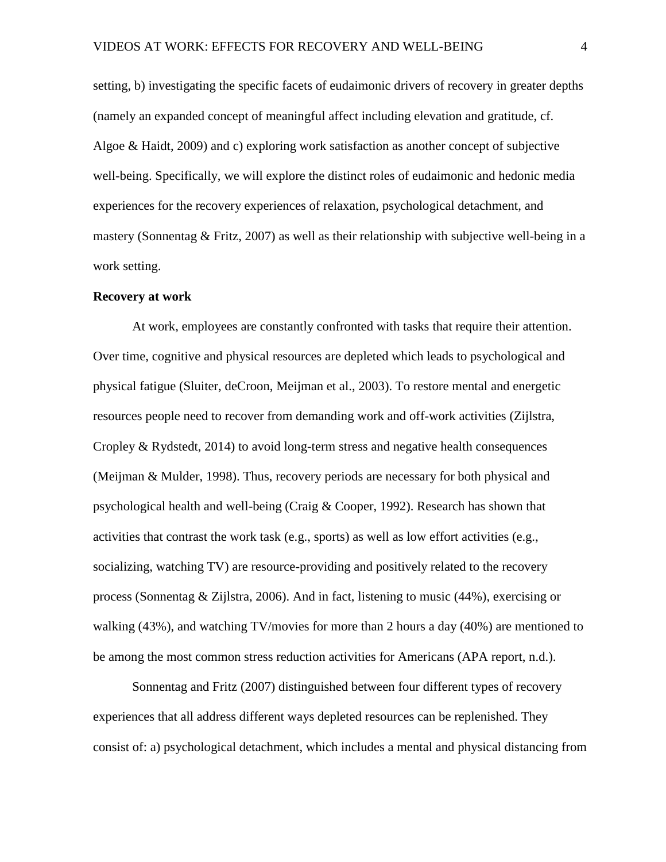setting, b) investigating the specific facets of eudaimonic drivers of recovery in greater depths (namely an expanded concept of meaningful affect including elevation and gratitude, cf. Algoe & Haidt, 2009) and c) exploring work satisfaction as another concept of subjective well-being. Specifically, we will explore the distinct roles of eudaimonic and hedonic media experiences for the recovery experiences of relaxation, psychological detachment, and mastery (Sonnentag & Fritz, 2007) as well as their relationship with subjective well-being in a work setting.

#### **Recovery at work**

At work, employees are constantly confronted with tasks that require their attention. Over time, cognitive and physical resources are depleted which leads to psychological and physical fatigue (Sluiter, deCroon, Meijman et al., 2003). To restore mental and energetic resources people need to recover from demanding work and off-work activities (Zijlstra, Cropley & Rydstedt, 2014) to avoid long-term stress and negative health consequences (Meijman & Mulder, 1998). Thus, recovery periods are necessary for both physical and psychological health and well-being (Craig & Cooper, 1992). Research has shown that activities that contrast the work task (e.g., sports) as well as low effort activities (e.g., socializing, watching TV) are resource-providing and positively related to the recovery process (Sonnentag & Zijlstra, 2006). And in fact, listening to music (44%), exercising or walking (43%), and watching TV/movies for more than 2 hours a day (40%) are mentioned to be among the most common stress reduction activities for Americans (APA report, n.d.).

Sonnentag and Fritz (2007) distinguished between four different types of recovery experiences that all address different ways depleted resources can be replenished. They consist of: a) psychological detachment, which includes a mental and physical distancing from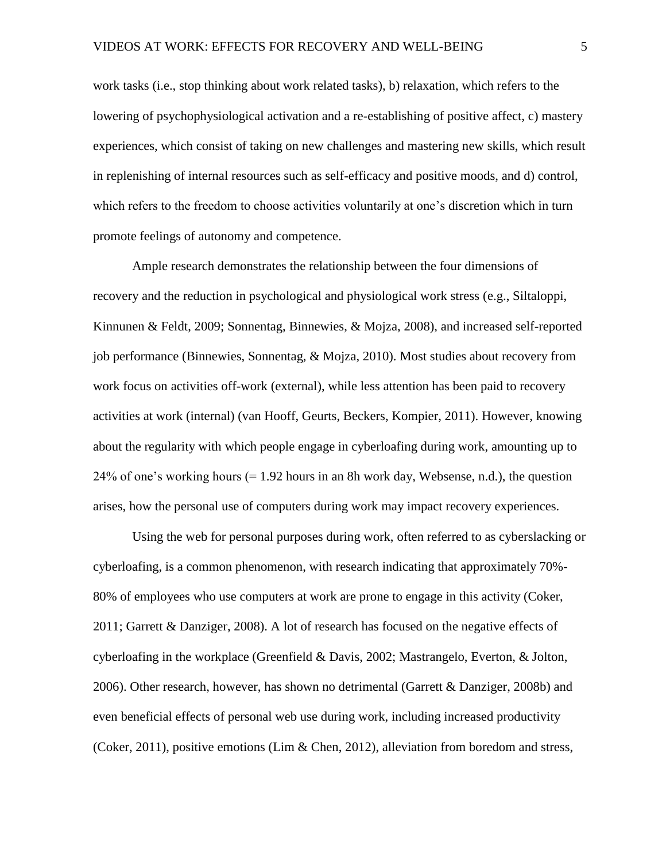work tasks (i.e., stop thinking about work related tasks), b) relaxation, which refers to the lowering of psychophysiological activation and a re-establishing of positive affect, c) mastery experiences, which consist of taking on new challenges and mastering new skills, which result in replenishing of internal resources such as self-efficacy and positive moods, and d) control, which refers to the freedom to choose activities voluntarily at one's discretion which in turn promote feelings of autonomy and competence.

Ample research demonstrates the relationship between the four dimensions of recovery and the reduction in psychological and physiological work stress (e.g., Siltaloppi, Kinnunen & Feldt, 2009; Sonnentag, Binnewies, & Mojza, 2008), and increased self-reported job performance (Binnewies, Sonnentag, & Mojza, 2010). Most studies about recovery from work focus on activities off-work (external), while less attention has been paid to recovery activities at work (internal) (van Hooff, Geurts, Beckers, Kompier, 2011). However, knowing about the regularity with which people engage in cyberloafing during work, amounting up to  $24\%$  of one's working hours (= 1.92 hours in an 8h work day, Websense, n.d.), the question arises, how the personal use of computers during work may impact recovery experiences.

Using the web for personal purposes during work, often referred to as cyberslacking or cyberloafing, is a common phenomenon, with research indicating that approximately 70%- 80% of employees who use computers at work are prone to engage in this activity (Coker, 2011; Garrett & Danziger, 2008). A lot of research has focused on the negative effects of cyberloafing in the workplace (Greenfield & Davis, 2002; Mastrangelo, Everton, & Jolton, 2006). Other research, however, has shown no detrimental (Garrett & Danziger, 2008b) and even beneficial effects of personal web use during work, including increased productivity (Coker, 2011), positive emotions (Lim & Chen, 2012), alleviation from boredom and stress,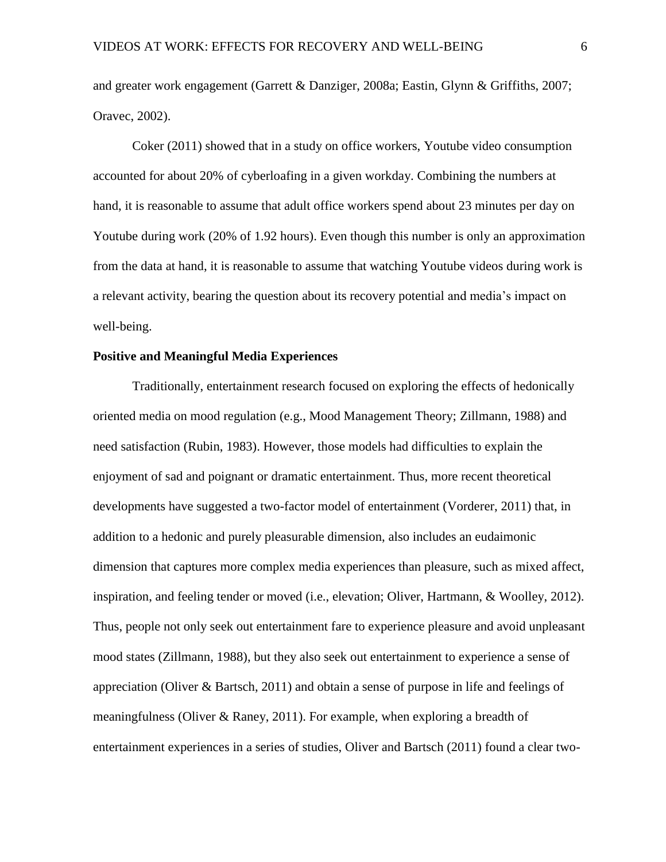and greater work engagement (Garrett & Danziger, 2008a; Eastin, Glynn & Griffiths, 2007; Oravec, 2002).

Coker (2011) showed that in a study on office workers, Youtube video consumption accounted for about 20% of cyberloafing in a given workday. Combining the numbers at hand, it is reasonable to assume that adult office workers spend about 23 minutes per day on Youtube during work (20% of 1.92 hours). Even though this number is only an approximation from the data at hand, it is reasonable to assume that watching Youtube videos during work is a relevant activity, bearing the question about its recovery potential and media's impact on well-being.

#### **Positive and Meaningful Media Experiences**

Traditionally, entertainment research focused on exploring the effects of hedonically oriented media on mood regulation (e.g., Mood Management Theory; Zillmann, 1988) and need satisfaction (Rubin, 1983). However, those models had difficulties to explain the enjoyment of sad and poignant or dramatic entertainment. Thus, more recent theoretical developments have suggested a two-factor model of entertainment (Vorderer, 2011) that, in addition to a hedonic and purely pleasurable dimension, also includes an eudaimonic dimension that captures more complex media experiences than pleasure, such as mixed affect, inspiration, and feeling tender or moved (i.e., elevation; Oliver, Hartmann, & Woolley, 2012). Thus, people not only seek out entertainment fare to experience pleasure and avoid unpleasant mood states (Zillmann, 1988), but they also seek out entertainment to experience a sense of appreciation (Oliver & Bartsch, 2011) and obtain a sense of purpose in life and feelings of meaningfulness (Oliver & Raney, 2011). For example, when exploring a breadth of entertainment experiences in a series of studies, Oliver and Bartsch (2011) found a clear two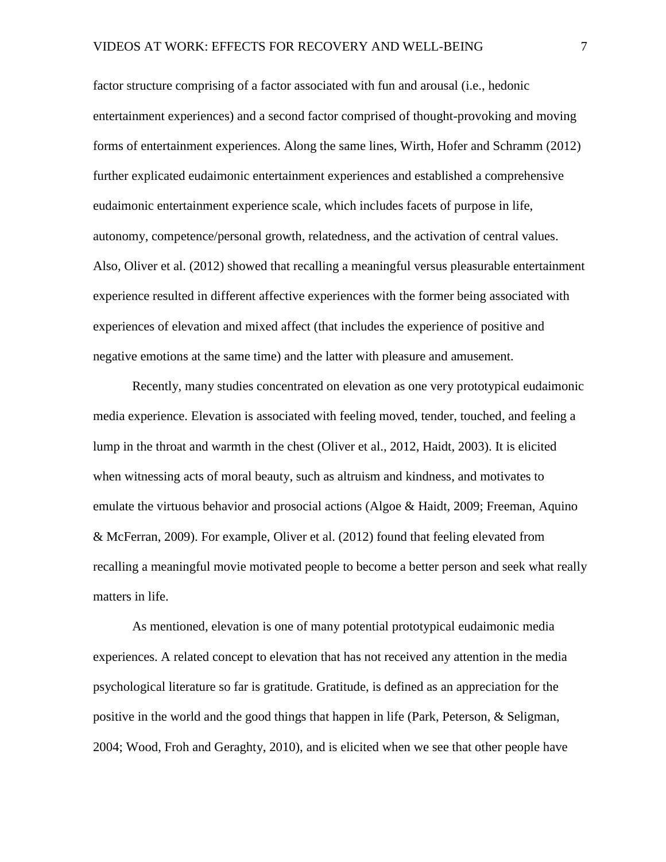factor structure comprising of a factor associated with fun and arousal (i.e., hedonic entertainment experiences) and a second factor comprised of thought-provoking and moving forms of entertainment experiences. Along the same lines, Wirth, Hofer and Schramm (2012) further explicated eudaimonic entertainment experiences and established a comprehensive eudaimonic entertainment experience scale, which includes facets of purpose in life, autonomy, competence/personal growth, relatedness, and the activation of central values. Also, Oliver et al. (2012) showed that recalling a meaningful versus pleasurable entertainment experience resulted in different affective experiences with the former being associated with experiences of elevation and mixed affect (that includes the experience of positive and negative emotions at the same time) and the latter with pleasure and amusement.

Recently, many studies concentrated on elevation as one very prototypical eudaimonic media experience. Elevation is associated with feeling moved, tender, touched, and feeling a lump in the throat and warmth in the chest (Oliver et al., 2012, Haidt, 2003). It is elicited when witnessing acts of moral beauty, such as altruism and kindness, and motivates to emulate the virtuous behavior and prosocial actions (Algoe & Haidt, 2009; Freeman, Aquino & McFerran, 2009). For example, Oliver et al. (2012) found that feeling elevated from recalling a meaningful movie motivated people to become a better person and seek what really matters in life.

As mentioned, elevation is one of many potential prototypical eudaimonic media experiences. A related concept to elevation that has not received any attention in the media psychological literature so far is gratitude. Gratitude, is defined as an appreciation for the positive in the world and the good things that happen in life (Park, Peterson, & Seligman, 2004; Wood, Froh and Geraghty, 2010), and is elicited when we see that other people have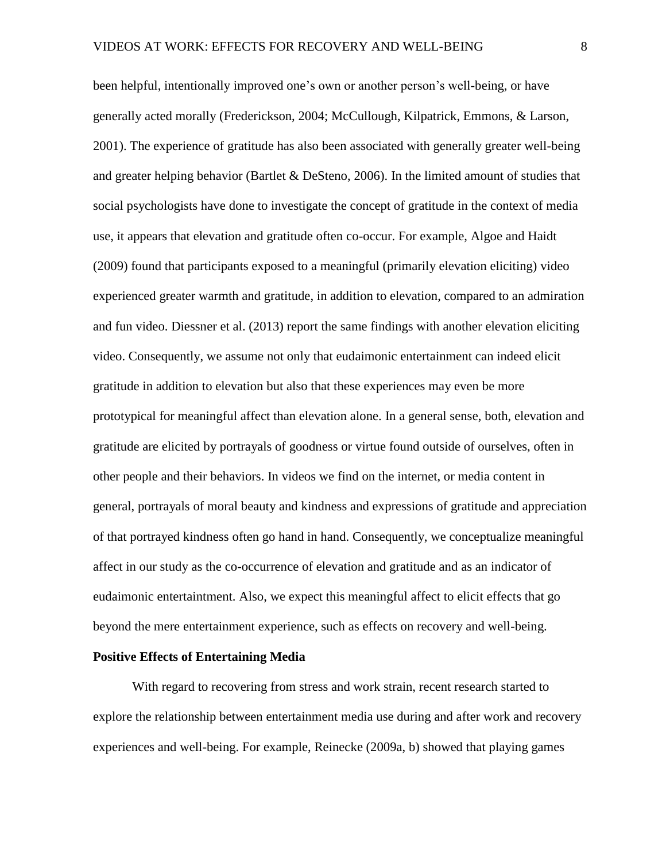been helpful, intentionally improved one's own or another person's well-being, or have generally acted morally (Frederickson, 2004; McCullough, Kilpatrick, Emmons, & Larson, 2001). The experience of gratitude has also been associated with generally greater well-being and greater helping behavior (Bartlet & DeSteno, 2006). In the limited amount of studies that social psychologists have done to investigate the concept of gratitude in the context of media use, it appears that elevation and gratitude often co-occur. For example, Algoe and Haidt (2009) found that participants exposed to a meaningful (primarily elevation eliciting) video experienced greater warmth and gratitude, in addition to elevation, compared to an admiration and fun video. Diessner et al. (2013) report the same findings with another elevation eliciting video. Consequently, we assume not only that eudaimonic entertainment can indeed elicit gratitude in addition to elevation but also that these experiences may even be more prototypical for meaningful affect than elevation alone. In a general sense, both, elevation and gratitude are elicited by portrayals of goodness or virtue found outside of ourselves, often in other people and their behaviors. In videos we find on the internet, or media content in general, portrayals of moral beauty and kindness and expressions of gratitude and appreciation of that portrayed kindness often go hand in hand. Consequently, we conceptualize meaningful affect in our study as the co-occurrence of elevation and gratitude and as an indicator of eudaimonic entertaintment. Also, we expect this meaningful affect to elicit effects that go beyond the mere entertainment experience, such as effects on recovery and well-being.

#### **Positive Effects of Entertaining Media**

With regard to recovering from stress and work strain, recent research started to explore the relationship between entertainment media use during and after work and recovery experiences and well-being. For example, Reinecke (2009a, b) showed that playing games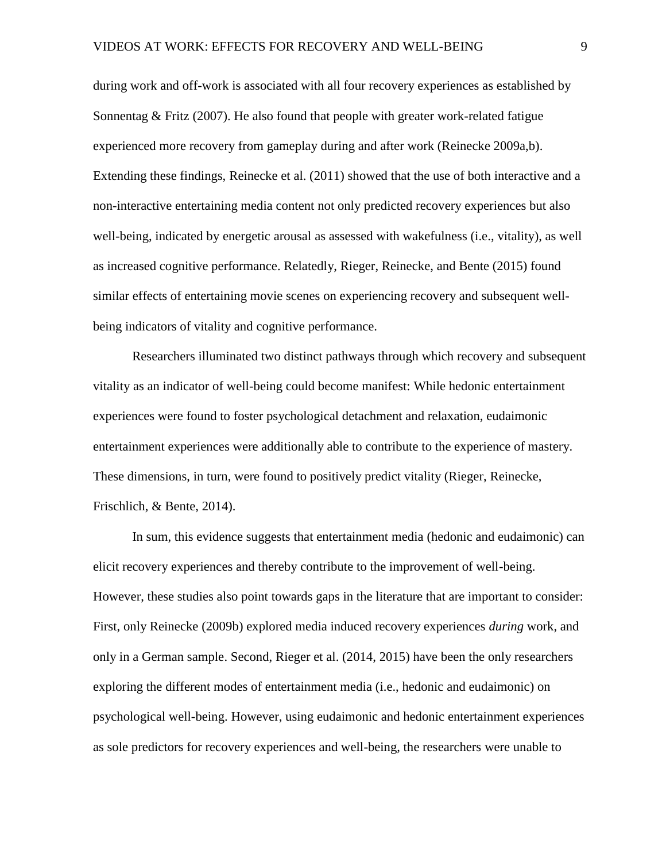during work and off-work is associated with all four recovery experiences as established by Sonnentag & Fritz (2007). He also found that people with greater work-related fatigue experienced more recovery from gameplay during and after work (Reinecke 2009a,b). Extending these findings, Reinecke et al. (2011) showed that the use of both interactive and a non-interactive entertaining media content not only predicted recovery experiences but also well-being, indicated by energetic arousal as assessed with wakefulness (i.e., vitality), as well as increased cognitive performance. Relatedly, Rieger, Reinecke, and Bente (2015) found similar effects of entertaining movie scenes on experiencing recovery and subsequent wellbeing indicators of vitality and cognitive performance.

Researchers illuminated two distinct pathways through which recovery and subsequent vitality as an indicator of well-being could become manifest: While hedonic entertainment experiences were found to foster psychological detachment and relaxation, eudaimonic entertainment experiences were additionally able to contribute to the experience of mastery. These dimensions, in turn, were found to positively predict vitality (Rieger, Reinecke, Frischlich, & Bente, 2014).

In sum, this evidence suggests that entertainment media (hedonic and eudaimonic) can elicit recovery experiences and thereby contribute to the improvement of well-being. However, these studies also point towards gaps in the literature that are important to consider: First, only Reinecke (2009b) explored media induced recovery experiences *during* work, and only in a German sample. Second, Rieger et al. (2014, 2015) have been the only researchers exploring the different modes of entertainment media (i.e., hedonic and eudaimonic) on psychological well-being. However, using eudaimonic and hedonic entertainment experiences as sole predictors for recovery experiences and well-being, the researchers were unable to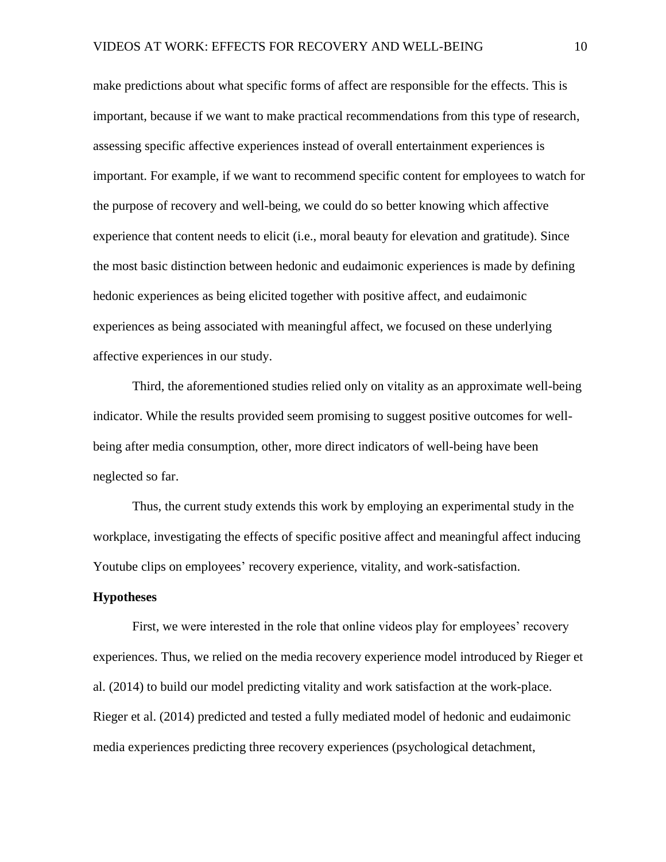make predictions about what specific forms of affect are responsible for the effects. This is important, because if we want to make practical recommendations from this type of research, assessing specific affective experiences instead of overall entertainment experiences is important. For example, if we want to recommend specific content for employees to watch for the purpose of recovery and well-being, we could do so better knowing which affective experience that content needs to elicit (i.e., moral beauty for elevation and gratitude). Since the most basic distinction between hedonic and eudaimonic experiences is made by defining hedonic experiences as being elicited together with positive affect, and eudaimonic experiences as being associated with meaningful affect, we focused on these underlying affective experiences in our study.

Third, the aforementioned studies relied only on vitality as an approximate well-being indicator. While the results provided seem promising to suggest positive outcomes for wellbeing after media consumption, other, more direct indicators of well-being have been neglected so far.

Thus, the current study extends this work by employing an experimental study in the workplace, investigating the effects of specific positive affect and meaningful affect inducing Youtube clips on employees' recovery experience, vitality, and work-satisfaction.

#### **Hypotheses**

First, we were interested in the role that online videos play for employees' recovery experiences. Thus, we relied on the media recovery experience model introduced by Rieger et al. (2014) to build our model predicting vitality and work satisfaction at the work-place. Rieger et al. (2014) predicted and tested a fully mediated model of hedonic and eudaimonic media experiences predicting three recovery experiences (psychological detachment,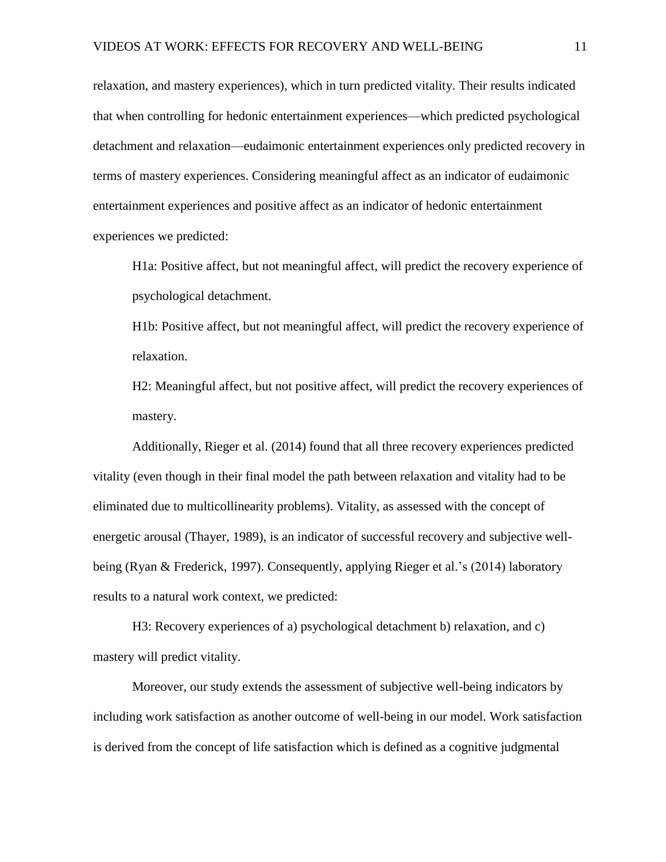relaxation, and mastery experiences), which in turn predicted vitality. Their results indicated that when controlling for hedonic entertainment experiences—which predicted psychological detachment and relaxation—eudaimonic entertainment experiences only predicted recovery in terms of mastery experiences. Considering meaningful affect as an indicator of eudaimonic entertainment experiences and positive affect as an indicator of hedonic entertainment experiences we predicted:

H1a: Positive affect, but not meaningful affect, will predict the recovery experience of psychological detachment.

H1b: Positive affect, but not meaningful affect, will predict the recovery experience of relaxation.

H2: Meaningful affect, but not positive affect, will predict the recovery experiences of mastery.

Additionally, Rieger et al. (2014) found that all three recovery experiences predicted vitality (even though in their final model the path between relaxation and vitality had to be eliminated due to multicollinearity problems). Vitality, as assessed with the concept of energetic arousal (Thayer, 1989), is an indicator of successful recovery and subjective wellbeing (Ryan & Frederick, 1997). Consequently, applying Rieger et al.'s (2014) laboratory results to a natural work context, we predicted:

H3: Recovery experiences of a) psychological detachment b) relaxation, and c) mastery will predict vitality.

Moreover, our study extends the assessment of subjective well-being indicators by including work satisfaction as another outcome of well-being in our model. Work satisfaction is derived from the concept of life satisfaction which is defined as a cognitive judgmental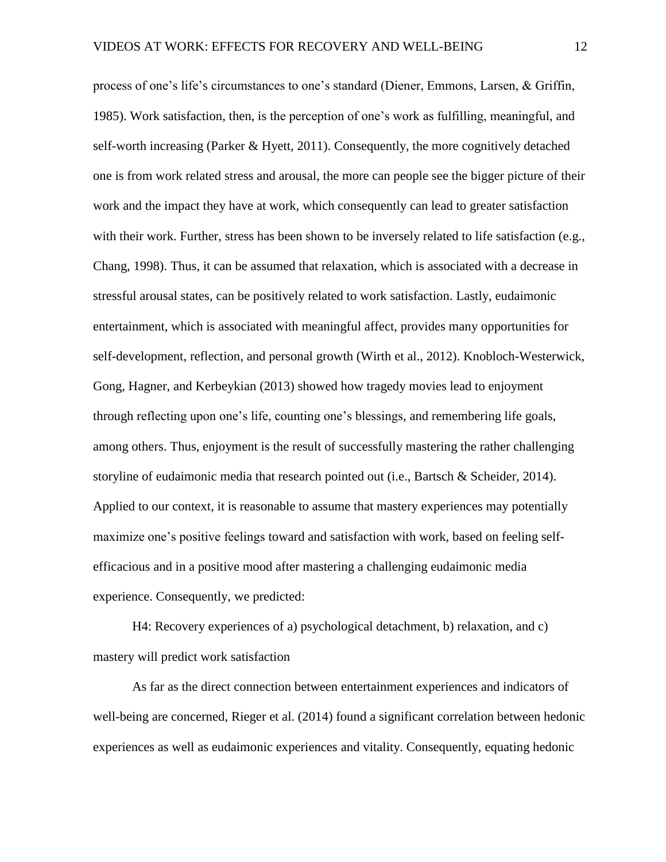process of one's life's circumstances to one's standard (Diener, Emmons, Larsen, & Griffin, 1985). Work satisfaction, then, is the perception of one's work as fulfilling, meaningful, and self-worth increasing (Parker & Hyett, 2011). Consequently, the more cognitively detached one is from work related stress and arousal, the more can people see the bigger picture of their work and the impact they have at work, which consequently can lead to greater satisfaction with their work. Further, stress has been shown to be inversely related to life satisfaction (e.g., Chang, 1998). Thus, it can be assumed that relaxation, which is associated with a decrease in stressful arousal states, can be positively related to work satisfaction. Lastly, eudaimonic entertainment, which is associated with meaningful affect, provides many opportunities for self-development, reflection, and personal growth (Wirth et al., 2012). Knobloch-Westerwick, Gong, Hagner, and Kerbeykian (2013) showed how tragedy movies lead to enjoyment through reflecting upon one's life, counting one's blessings, and remembering life goals, among others. Thus, enjoyment is the result of successfully mastering the rather challenging storyline of eudaimonic media that research pointed out (i.e., Bartsch & Scheider, 2014). Applied to our context, it is reasonable to assume that mastery experiences may potentially maximize one's positive feelings toward and satisfaction with work, based on feeling selfefficacious and in a positive mood after mastering a challenging eudaimonic media experience. Consequently, we predicted:

H4: Recovery experiences of a) psychological detachment, b) relaxation, and c) mastery will predict work satisfaction

As far as the direct connection between entertainment experiences and indicators of well-being are concerned, Rieger et al. (2014) found a significant correlation between hedonic experiences as well as eudaimonic experiences and vitality. Consequently, equating hedonic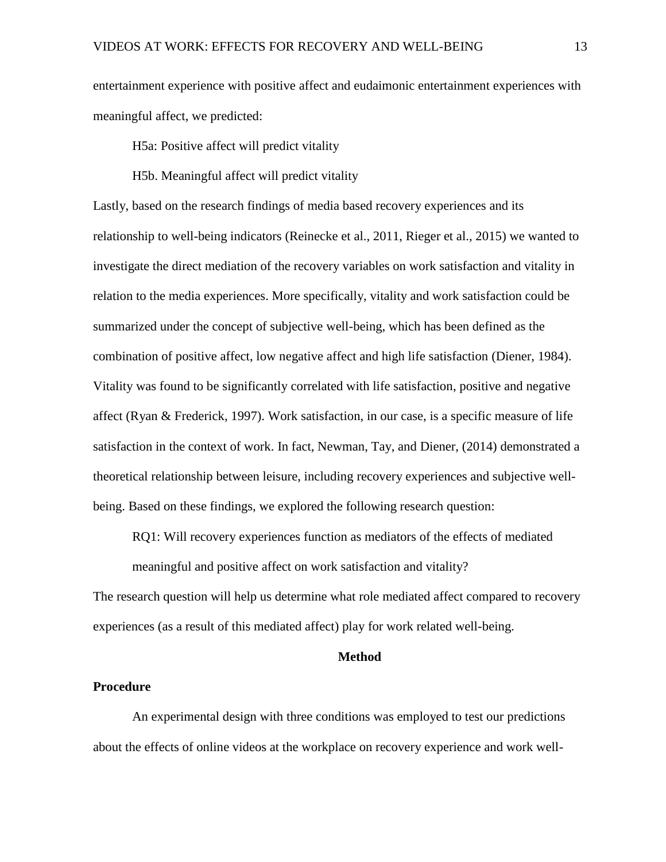entertainment experience with positive affect and eudaimonic entertainment experiences with meaningful affect, we predicted:

H5a: Positive affect will predict vitality

H5b. Meaningful affect will predict vitality

Lastly, based on the research findings of media based recovery experiences and its relationship to well-being indicators (Reinecke et al., 2011, Rieger et al., 2015) we wanted to investigate the direct mediation of the recovery variables on work satisfaction and vitality in relation to the media experiences. More specifically, vitality and work satisfaction could be summarized under the concept of subjective well-being, which has been defined as the combination of positive affect, low negative affect and high life satisfaction (Diener, 1984). Vitality was found to be significantly correlated with life satisfaction, positive and negative affect (Ryan & Frederick, 1997). Work satisfaction, in our case, is a specific measure of life satisfaction in the context of work. In fact, Newman, Tay, and Diener, (2014) demonstrated a theoretical relationship between leisure, including recovery experiences and subjective wellbeing. Based on these findings, we explored the following research question:

RQ1: Will recovery experiences function as mediators of the effects of mediated

meaningful and positive affect on work satisfaction and vitality?

The research question will help us determine what role mediated affect compared to recovery experiences (as a result of this mediated affect) play for work related well-being.

#### **Method**

#### **Procedure**

An experimental design with three conditions was employed to test our predictions about the effects of online videos at the workplace on recovery experience and work well-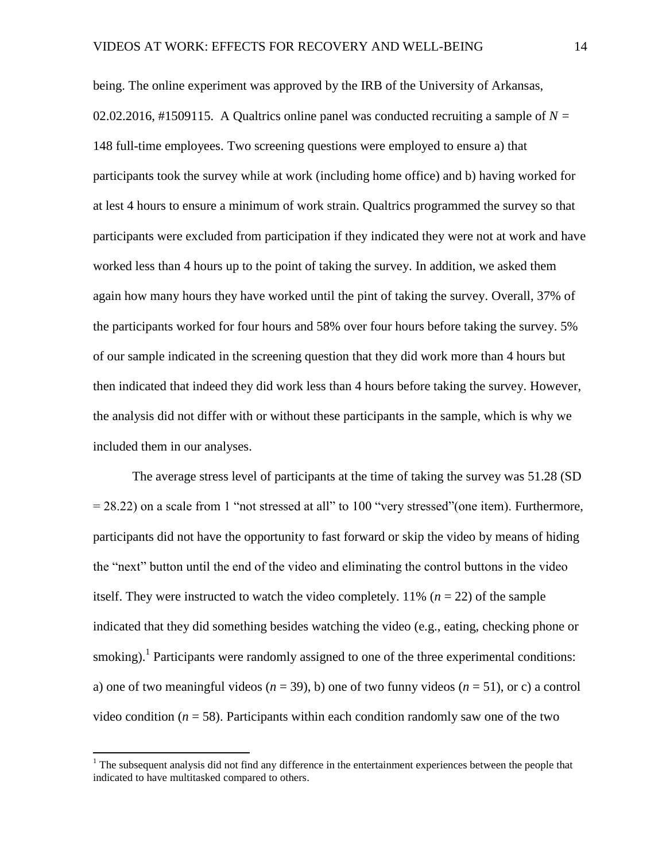being. The online experiment was approved by the IRB of the University of Arkansas, 02.02.2016, #1509115. A Qualtrics online panel was conducted recruiting a sample of  $N =$ 148 full-time employees. Two screening questions were employed to ensure a) that participants took the survey while at work (including home office) and b) having worked for at lest 4 hours to ensure a minimum of work strain. Qualtrics programmed the survey so that participants were excluded from participation if they indicated they were not at work and have worked less than 4 hours up to the point of taking the survey. In addition, we asked them again how many hours they have worked until the pint of taking the survey. Overall, 37% of the participants worked for four hours and 58% over four hours before taking the survey. 5% of our sample indicated in the screening question that they did work more than 4 hours but then indicated that indeed they did work less than 4 hours before taking the survey. However, the analysis did not differ with or without these participants in the sample, which is why we included them in our analyses.

The average stress level of participants at the time of taking the survey was 51.28 (SD = 28.22) on a scale from 1 "not stressed at all" to 100 "very stressed"(one item). Furthermore, participants did not have the opportunity to fast forward or skip the video by means of hiding the "next" button until the end of the video and eliminating the control buttons in the video itself. They were instructed to watch the video completely.  $11\%$  ( $n = 22$ ) of the sample indicated that they did something besides watching the video (e.g., eating, checking phone or smoking).<sup>1</sup> Participants were randomly assigned to one of the three experimental conditions: a) one of two meaningful videos  $(n = 39)$ , b) one of two funny videos  $(n = 51)$ , or c) a control video condition ( $n = 58$ ). Participants within each condition randomly saw one of the two

l

 $<sup>1</sup>$  The subsequent analysis did not find any difference in the entertainment experiences between the people that</sup> indicated to have multitasked compared to others.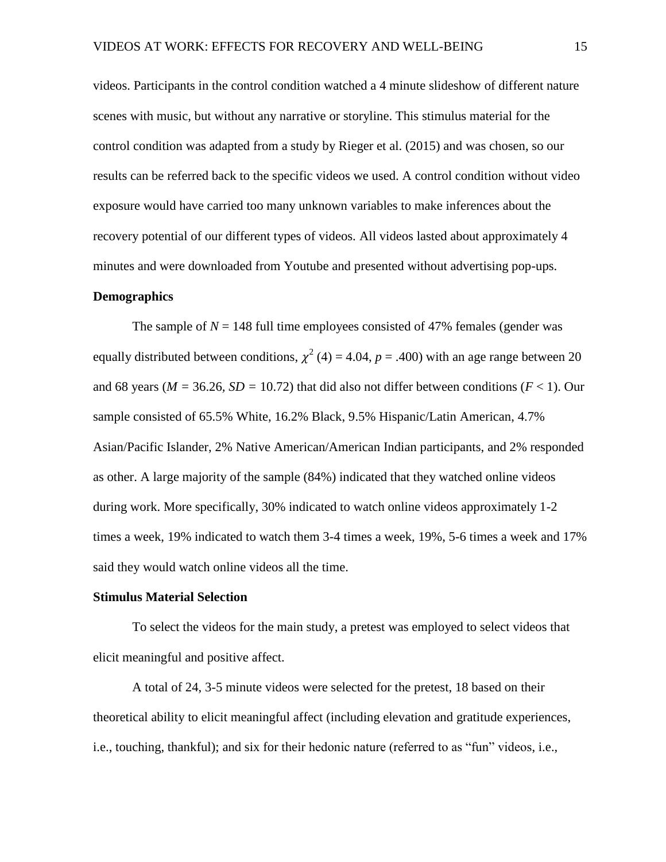videos. Participants in the control condition watched a 4 minute slideshow of different nature scenes with music, but without any narrative or storyline. This stimulus material for the control condition was adapted from a study by Rieger et al. (2015) and was chosen, so our results can be referred back to the specific videos we used. A control condition without video exposure would have carried too many unknown variables to make inferences about the recovery potential of our different types of videos. All videos lasted about approximately 4 minutes and were downloaded from Youtube and presented without advertising pop-ups.

#### **Demographics**

The sample of  $N = 148$  full time employees consisted of 47% females (gender was equally distributed between conditions,  $\chi^2$  (4) = 4.04, *p* = .400) with an age range between 20 and 68 years ( $M = 36.26$ ,  $SD = 10.72$ ) that did also not differ between conditions ( $F < 1$ ). Our sample consisted of 65.5% White, 16.2% Black, 9.5% Hispanic/Latin American, 4.7% Asian/Pacific Islander, 2% Native American/American Indian participants, and 2% responded as other. A large majority of the sample (84%) indicated that they watched online videos during work. More specifically, 30% indicated to watch online videos approximately 1-2 times a week, 19% indicated to watch them 3-4 times a week, 19%, 5-6 times a week and 17% said they would watch online videos all the time.

#### **Stimulus Material Selection**

To select the videos for the main study, a pretest was employed to select videos that elicit meaningful and positive affect.

A total of 24, 3-5 minute videos were selected for the pretest, 18 based on their theoretical ability to elicit meaningful affect (including elevation and gratitude experiences, i.e., touching, thankful); and six for their hedonic nature (referred to as "fun" videos, i.e.,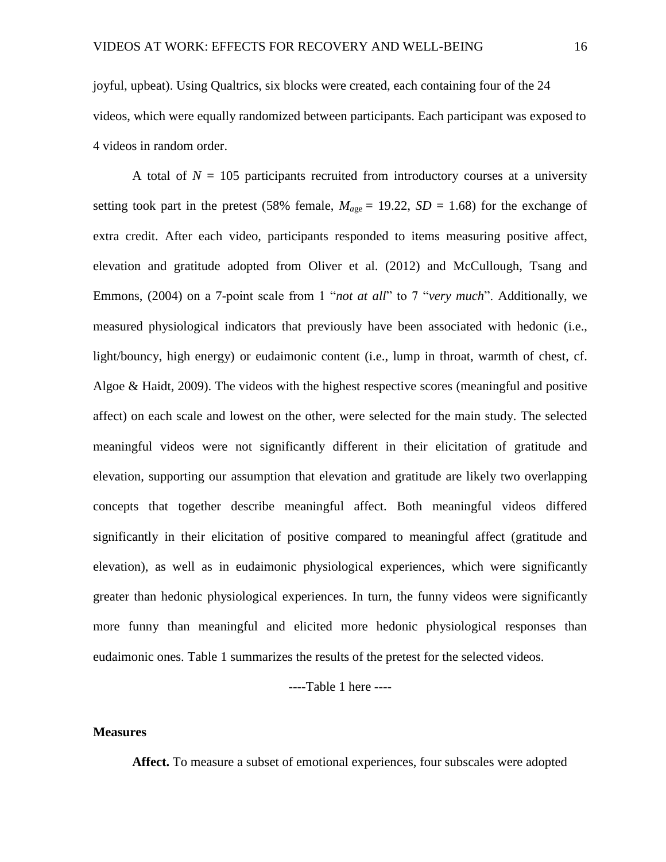joyful, upbeat). Using Qualtrics, six blocks were created, each containing four of the 24 videos, which were equally randomized between participants. Each participant was exposed to 4 videos in random order.

A total of  $N = 105$  participants recruited from introductory courses at a university setting took part in the pretest (58% female,  $M_{age} = 19.22$ ,  $SD = 1.68$ ) for the exchange of extra credit. After each video, participants responded to items measuring positive affect, elevation and gratitude adopted from Oliver et al. (2012) and McCullough, Tsang and Emmons, (2004) on a 7-point scale from 1 "*not at all*" to 7 "*very much*". Additionally, we measured physiological indicators that previously have been associated with hedonic (i.e., light/bouncy, high energy) or eudaimonic content (i.e., lump in throat, warmth of chest, cf. Algoe & Haidt, 2009). The videos with the highest respective scores (meaningful and positive affect) on each scale and lowest on the other, were selected for the main study. The selected meaningful videos were not significantly different in their elicitation of gratitude and elevation, supporting our assumption that elevation and gratitude are likely two overlapping concepts that together describe meaningful affect. Both meaningful videos differed significantly in their elicitation of positive compared to meaningful affect (gratitude and elevation), as well as in eudaimonic physiological experiences, which were significantly greater than hedonic physiological experiences. In turn, the funny videos were significantly more funny than meaningful and elicited more hedonic physiological responses than eudaimonic ones. Table 1 summarizes the results of the pretest for the selected videos.

----Table 1 here ----

#### **Measures**

**Affect.** To measure a subset of emotional experiences, four subscales were adopted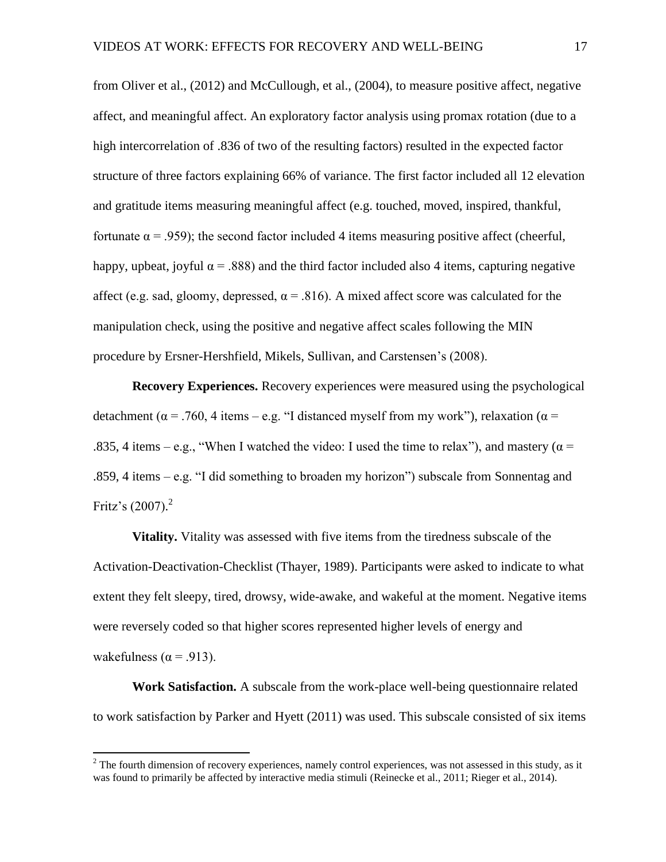from Oliver et al., (2012) and McCullough, et al., (2004), to measure positive affect, negative affect, and meaningful affect. An exploratory factor analysis using promax rotation (due to a high intercorrelation of .836 of two of the resulting factors) resulted in the expected factor structure of three factors explaining 66% of variance. The first factor included all 12 elevation and gratitude items measuring meaningful affect (e.g. touched, moved, inspired, thankful, fortunate  $\alpha$  = .959); the second factor included 4 items measuring positive affect (cheerful, happy, upbeat, joyful  $\alpha$  = .888) and the third factor included also 4 items, capturing negative affect (e.g. sad, gloomy, depressed,  $\alpha$  = .816). A mixed affect score was calculated for the manipulation check, using the positive and negative affect scales following the MIN procedure by Ersner-Hershfield, Mikels, Sullivan, and Carstensen's (2008).

**Recovery Experiences.** Recovery experiences were measured using the psychological detachment ( $\alpha$  = .760, 4 items – e.g. "I distanced myself from my work"), relaxation ( $\alpha$  = .835, 4 items – e.g., "When I watched the video: I used the time to relax"), and mastery ( $\alpha$  = .859, 4 items – e.g. "I did something to broaden my horizon") subscale from Sonnentag and Fritz's (2007).<sup>2</sup>

**Vitality.** Vitality was assessed with five items from the tiredness subscale of the Activation-Deactivation-Checklist (Thayer, 1989). Participants were asked to indicate to what extent they felt sleepy, tired, drowsy, wide-awake, and wakeful at the moment. Negative items were reversely coded so that higher scores represented higher levels of energy and wakefulness ( $\alpha$  = .913).

**Work Satisfaction.** A subscale from the work-place well-being questionnaire related to work satisfaction by Parker and Hyett (2011) was used. This subscale consisted of six items

l

 $2$  The fourth dimension of recovery experiences, namely control experiences, was not assessed in this study, as it was found to primarily be affected by interactive media stimuli (Reinecke et al., 2011; Rieger et al., 2014).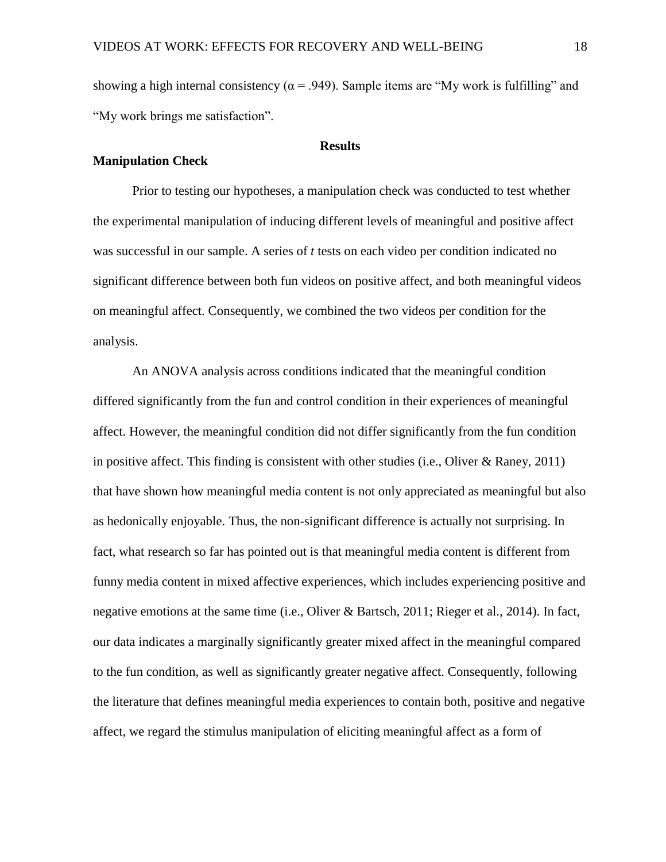showing a high internal consistency ( $\alpha$  = .949). Sample items are "My work is fulfilling" and "My work brings me satisfaction".

#### **Results**

#### **Manipulation Check**

Prior to testing our hypotheses, a manipulation check was conducted to test whether the experimental manipulation of inducing different levels of meaningful and positive affect was successful in our sample. A series of *t* tests on each video per condition indicated no significant difference between both fun videos on positive affect, and both meaningful videos on meaningful affect. Consequently, we combined the two videos per condition for the analysis.

An ANOVA analysis across conditions indicated that the meaningful condition differed significantly from the fun and control condition in their experiences of meaningful affect. However, the meaningful condition did not differ significantly from the fun condition in positive affect. This finding is consistent with other studies (i.e., Oliver & Raney, 2011) that have shown how meaningful media content is not only appreciated as meaningful but also as hedonically enjoyable. Thus, the non-significant difference is actually not surprising. In fact, what research so far has pointed out is that meaningful media content is different from funny media content in mixed affective experiences, which includes experiencing positive and negative emotions at the same time (i.e., Oliver & Bartsch, 2011; Rieger et al., 2014). In fact, our data indicates a marginally significantly greater mixed affect in the meaningful compared to the fun condition, as well as significantly greater negative affect. Consequently, following the literature that defines meaningful media experiences to contain both, positive and negative affect, we regard the stimulus manipulation of eliciting meaningful affect as a form of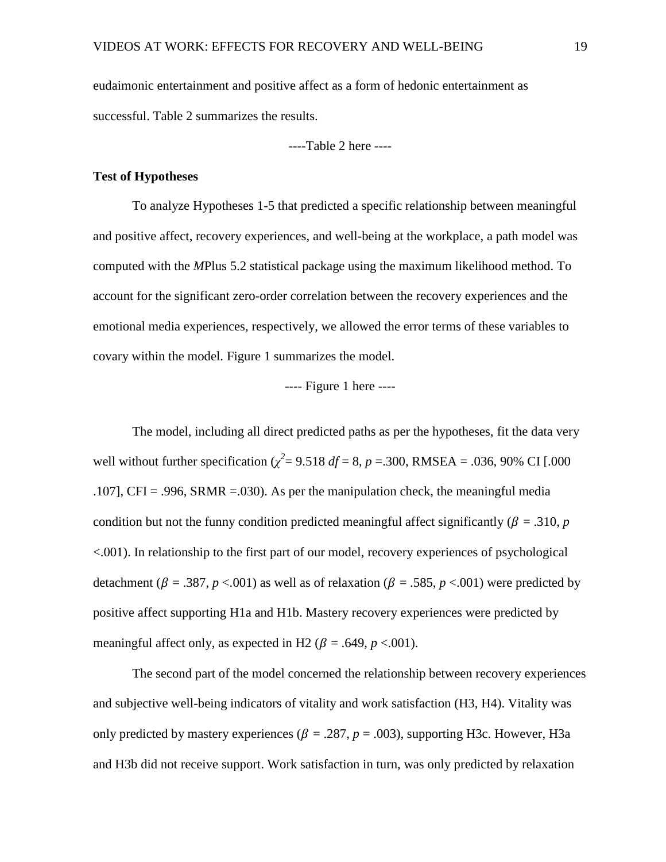eudaimonic entertainment and positive affect as a form of hedonic entertainment as successful. Table 2 summarizes the results.

----Table 2 here ----

#### **Test of Hypotheses**

To analyze Hypotheses 1-5 that predicted a specific relationship between meaningful and positive affect, recovery experiences, and well-being at the workplace, a path model was computed with the *M*Plus 5.2 statistical package using the maximum likelihood method. To account for the significant zero-order correlation between the recovery experiences and the emotional media experiences, respectively, we allowed the error terms of these variables to covary within the model. Figure 1 summarizes the model.

#### ---- Figure 1 here ----

The model, including all direct predicted paths as per the hypotheses, fit the data very well without further specification ( $\chi^2$  = 9.518 *df* = 8, *p* = .300, RMSEA = .036, 90% CI [.000 .107], CFI = .996, SRMR =.030). As per the manipulation check, the meaningful media condition but not the funny condition predicted meaningful affect significantly ( $\beta = .310$ , *p* <.001). In relationship to the first part of our model, recovery experiences of psychological detachment ( $\beta = .387$ ,  $p < .001$ ) as well as of relaxation ( $\beta = .585$ ,  $p < .001$ ) were predicted by positive affect supporting H1a and H1b. Mastery recovery experiences were predicted by meaningful affect only, as expected in H2 ( $\beta$  = .649,  $p$  <.001).

The second part of the model concerned the relationship between recovery experiences and subjective well-being indicators of vitality and work satisfaction (H3, H4). Vitality was only predicted by mastery experiences ( $\beta = .287$ ,  $p = .003$ ), supporting H3c. However, H3a and H3b did not receive support. Work satisfaction in turn, was only predicted by relaxation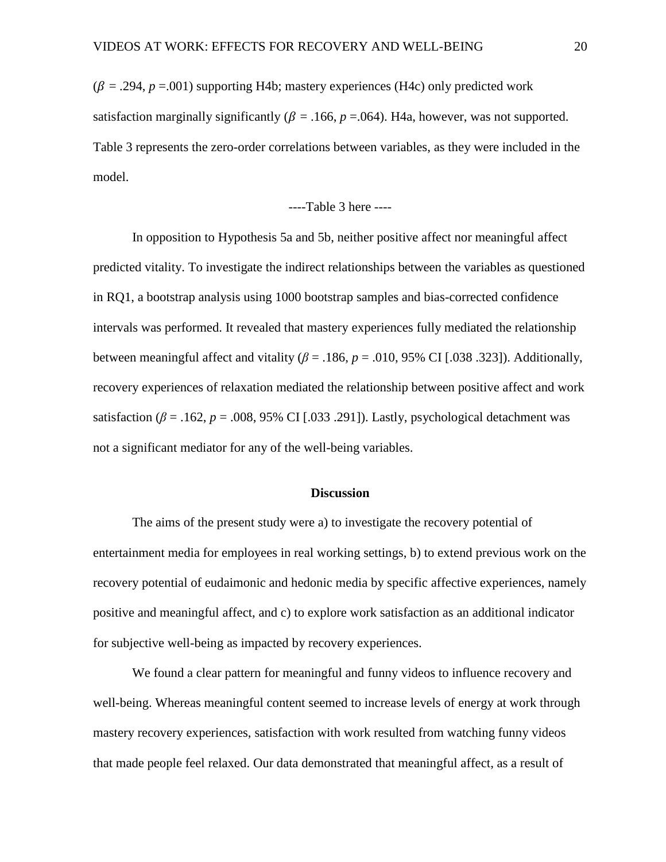$(\beta = .294, p = .001)$  supporting H4b; mastery experiences (H4c) only predicted work satisfaction marginally significantly ( $\beta$  = .166,  $p$  = .064). H4a, however, was not supported. Table 3 represents the zero-order correlations between variables, as they were included in the model.

#### ----Table 3 here ----

In opposition to Hypothesis 5a and 5b, neither positive affect nor meaningful affect predicted vitality. To investigate the indirect relationships between the variables as questioned in RQ1, a bootstrap analysis using 1000 bootstrap samples and bias-corrected confidence intervals was performed. It revealed that mastery experiences fully mediated the relationship between meaningful affect and vitality ( $\beta$  = .186,  $p$  = .010, 95% CI [.038 .323]). Additionally, recovery experiences of relaxation mediated the relationship between positive affect and work satisfaction ( $\beta$  = .162,  $p$  = .008, 95% CI [.033 .291]). Lastly, psychological detachment was not a significant mediator for any of the well-being variables.

#### **Discussion**

The aims of the present study were a) to investigate the recovery potential of entertainment media for employees in real working settings, b) to extend previous work on the recovery potential of eudaimonic and hedonic media by specific affective experiences, namely positive and meaningful affect, and c) to explore work satisfaction as an additional indicator for subjective well-being as impacted by recovery experiences.

We found a clear pattern for meaningful and funny videos to influence recovery and well-being. Whereas meaningful content seemed to increase levels of energy at work through mastery recovery experiences, satisfaction with work resulted from watching funny videos that made people feel relaxed. Our data demonstrated that meaningful affect, as a result of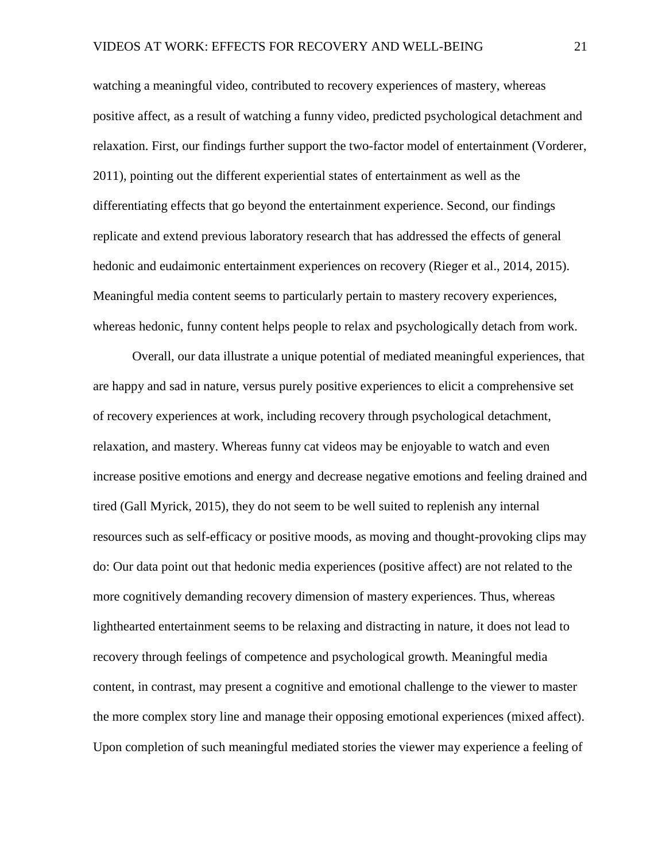watching a meaningful video, contributed to recovery experiences of mastery, whereas positive affect, as a result of watching a funny video, predicted psychological detachment and relaxation. First, our findings further support the two-factor model of entertainment (Vorderer, 2011), pointing out the different experiential states of entertainment as well as the differentiating effects that go beyond the entertainment experience. Second, our findings replicate and extend previous laboratory research that has addressed the effects of general hedonic and eudaimonic entertainment experiences on recovery (Rieger et al., 2014, 2015). Meaningful media content seems to particularly pertain to mastery recovery experiences, whereas hedonic, funny content helps people to relax and psychologically detach from work.

Overall, our data illustrate a unique potential of mediated meaningful experiences, that are happy and sad in nature, versus purely positive experiences to elicit a comprehensive set of recovery experiences at work, including recovery through psychological detachment, relaxation, and mastery. Whereas funny cat videos may be enjoyable to watch and even increase positive emotions and energy and decrease negative emotions and feeling drained and tired (Gall Myrick, 2015), they do not seem to be well suited to replenish any internal resources such as self-efficacy or positive moods, as moving and thought-provoking clips may do: Our data point out that hedonic media experiences (positive affect) are not related to the more cognitively demanding recovery dimension of mastery experiences. Thus, whereas lighthearted entertainment seems to be relaxing and distracting in nature, it does not lead to recovery through feelings of competence and psychological growth. Meaningful media content, in contrast, may present a cognitive and emotional challenge to the viewer to master the more complex story line and manage their opposing emotional experiences (mixed affect). Upon completion of such meaningful mediated stories the viewer may experience a feeling of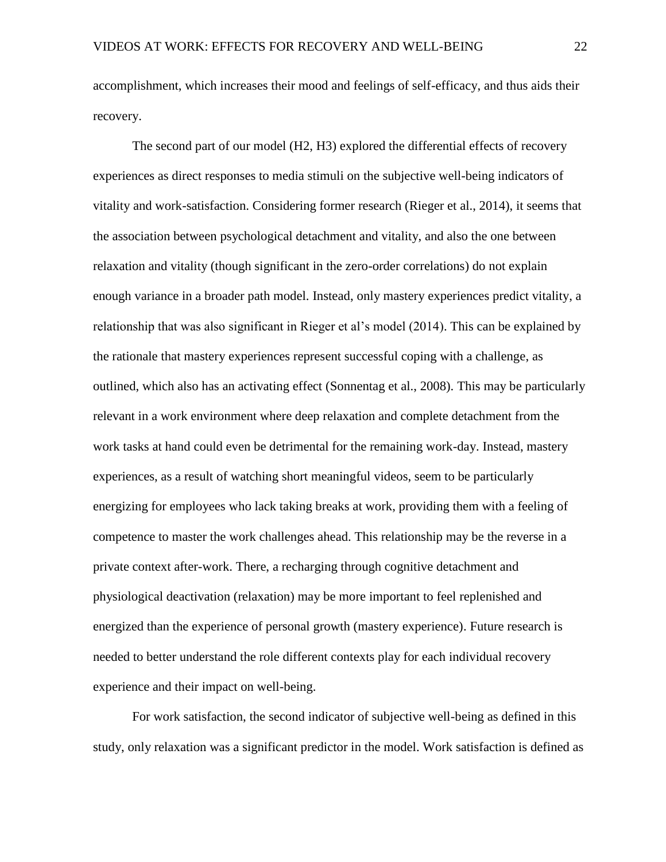accomplishment, which increases their mood and feelings of self-efficacy, and thus aids their recovery.

The second part of our model (H2, H3) explored the differential effects of recovery experiences as direct responses to media stimuli on the subjective well-being indicators of vitality and work-satisfaction. Considering former research (Rieger et al., 2014), it seems that the association between psychological detachment and vitality, and also the one between relaxation and vitality (though significant in the zero-order correlations) do not explain enough variance in a broader path model. Instead, only mastery experiences predict vitality, a relationship that was also significant in Rieger et al's model (2014). This can be explained by the rationale that mastery experiences represent successful coping with a challenge, as outlined, which also has an activating effect (Sonnentag et al., 2008). This may be particularly relevant in a work environment where deep relaxation and complete detachment from the work tasks at hand could even be detrimental for the remaining work-day. Instead, mastery experiences, as a result of watching short meaningful videos, seem to be particularly energizing for employees who lack taking breaks at work, providing them with a feeling of competence to master the work challenges ahead. This relationship may be the reverse in a private context after-work. There, a recharging through cognitive detachment and physiological deactivation (relaxation) may be more important to feel replenished and energized than the experience of personal growth (mastery experience). Future research is needed to better understand the role different contexts play for each individual recovery experience and their impact on well-being.

For work satisfaction, the second indicator of subjective well-being as defined in this study, only relaxation was a significant predictor in the model. Work satisfaction is defined as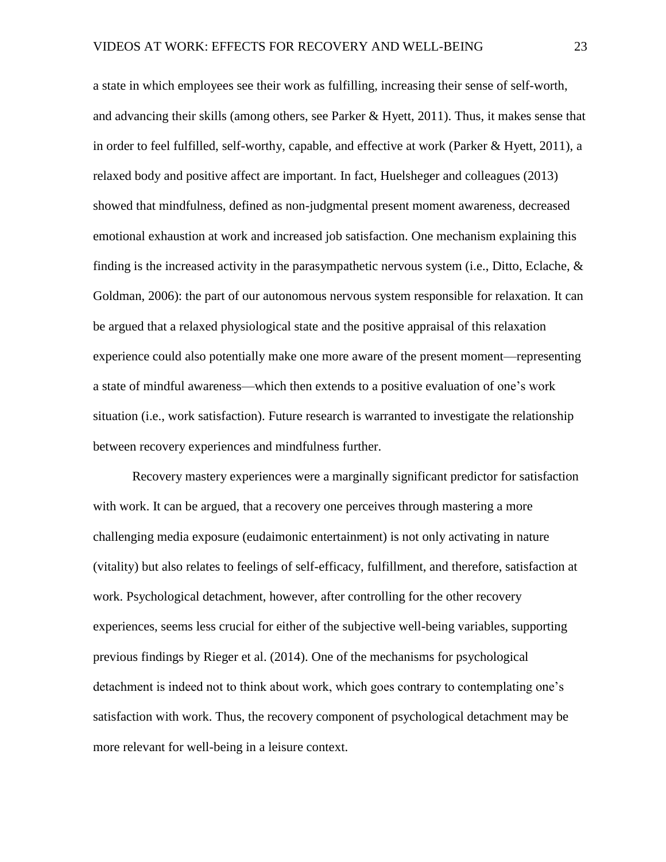a state in which employees see their work as fulfilling, increasing their sense of self-worth, and advancing their skills (among others, see Parker & Hyett, 2011). Thus, it makes sense that in order to feel fulfilled, self-worthy, capable, and effective at work (Parker & Hyett, 2011), a relaxed body and positive affect are important. In fact, Huelsheger and colleagues (2013) showed that mindfulness, defined as non-judgmental present moment awareness, decreased emotional exhaustion at work and increased job satisfaction. One mechanism explaining this finding is the increased activity in the parasympathetic nervous system (i.e., Ditto, Eclache, & Goldman, 2006): the part of our autonomous nervous system responsible for relaxation. It can be argued that a relaxed physiological state and the positive appraisal of this relaxation experience could also potentially make one more aware of the present moment—representing a state of mindful awareness—which then extends to a positive evaluation of one's work situation (i.e., work satisfaction). Future research is warranted to investigate the relationship between recovery experiences and mindfulness further.

Recovery mastery experiences were a marginally significant predictor for satisfaction with work. It can be argued, that a recovery one perceives through mastering a more challenging media exposure (eudaimonic entertainment) is not only activating in nature (vitality) but also relates to feelings of self-efficacy, fulfillment, and therefore, satisfaction at work. Psychological detachment, however, after controlling for the other recovery experiences, seems less crucial for either of the subjective well-being variables, supporting previous findings by Rieger et al. (2014). One of the mechanisms for psychological detachment is indeed not to think about work, which goes contrary to contemplating one's satisfaction with work. Thus, the recovery component of psychological detachment may be more relevant for well-being in a leisure context.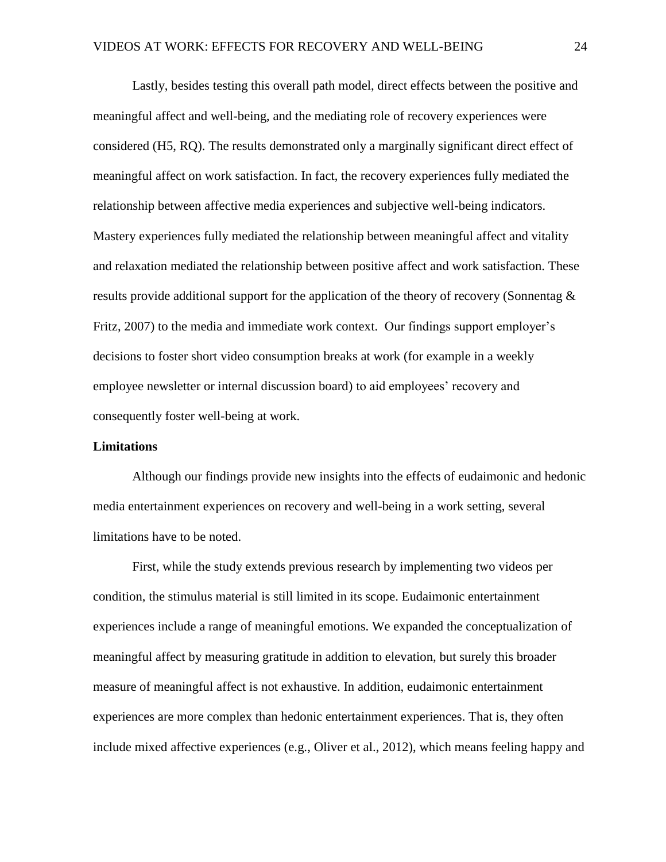Lastly, besides testing this overall path model, direct effects between the positive and meaningful affect and well-being, and the mediating role of recovery experiences were considered (H5, RQ). The results demonstrated only a marginally significant direct effect of meaningful affect on work satisfaction. In fact, the recovery experiences fully mediated the relationship between affective media experiences and subjective well-being indicators. Mastery experiences fully mediated the relationship between meaningful affect and vitality and relaxation mediated the relationship between positive affect and work satisfaction. These results provide additional support for the application of the theory of recovery (Sonnentag & Fritz, 2007) to the media and immediate work context. Our findings support employer's decisions to foster short video consumption breaks at work (for example in a weekly employee newsletter or internal discussion board) to aid employees' recovery and consequently foster well-being at work.

#### **Limitations**

Although our findings provide new insights into the effects of eudaimonic and hedonic media entertainment experiences on recovery and well-being in a work setting, several limitations have to be noted.

First, while the study extends previous research by implementing two videos per condition, the stimulus material is still limited in its scope. Eudaimonic entertainment experiences include a range of meaningful emotions. We expanded the conceptualization of meaningful affect by measuring gratitude in addition to elevation, but surely this broader measure of meaningful affect is not exhaustive. In addition, eudaimonic entertainment experiences are more complex than hedonic entertainment experiences. That is, they often include mixed affective experiences (e.g., Oliver et al., 2012), which means feeling happy and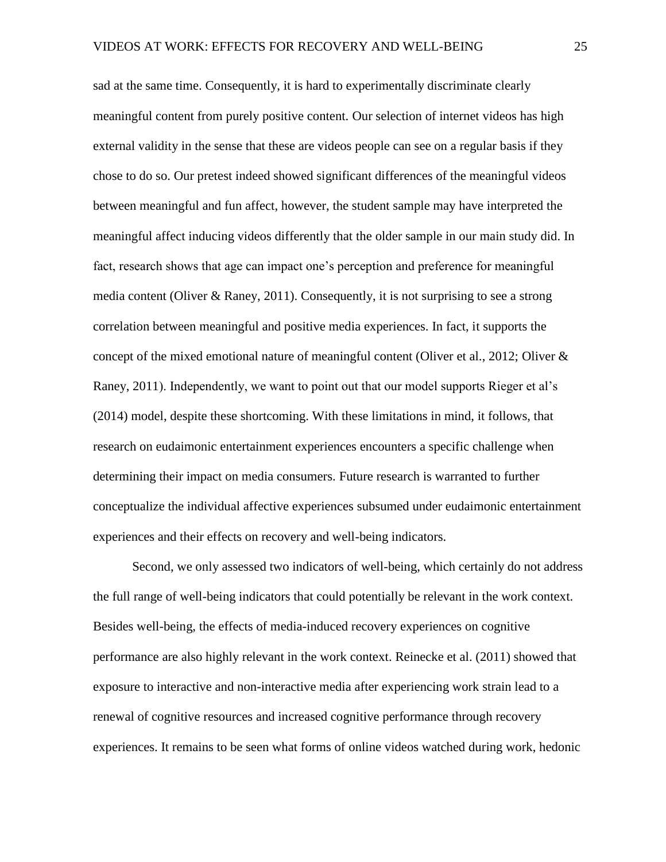sad at the same time. Consequently, it is hard to experimentally discriminate clearly meaningful content from purely positive content. Our selection of internet videos has high external validity in the sense that these are videos people can see on a regular basis if they chose to do so. Our pretest indeed showed significant differences of the meaningful videos between meaningful and fun affect, however, the student sample may have interpreted the meaningful affect inducing videos differently that the older sample in our main study did. In fact, research shows that age can impact one's perception and preference for meaningful media content (Oliver & Raney, 2011). Consequently, it is not surprising to see a strong correlation between meaningful and positive media experiences. In fact, it supports the concept of the mixed emotional nature of meaningful content (Oliver et al., 2012; Oliver & Raney, 2011). Independently, we want to point out that our model supports Rieger et al's (2014) model, despite these shortcoming. With these limitations in mind, it follows, that research on eudaimonic entertainment experiences encounters a specific challenge when determining their impact on media consumers. Future research is warranted to further conceptualize the individual affective experiences subsumed under eudaimonic entertainment experiences and their effects on recovery and well-being indicators.

Second, we only assessed two indicators of well-being, which certainly do not address the full range of well-being indicators that could potentially be relevant in the work context. Besides well-being, the effects of media-induced recovery experiences on cognitive performance are also highly relevant in the work context. Reinecke et al. (2011) showed that exposure to interactive and non-interactive media after experiencing work strain lead to a renewal of cognitive resources and increased cognitive performance through recovery experiences. It remains to be seen what forms of online videos watched during work, hedonic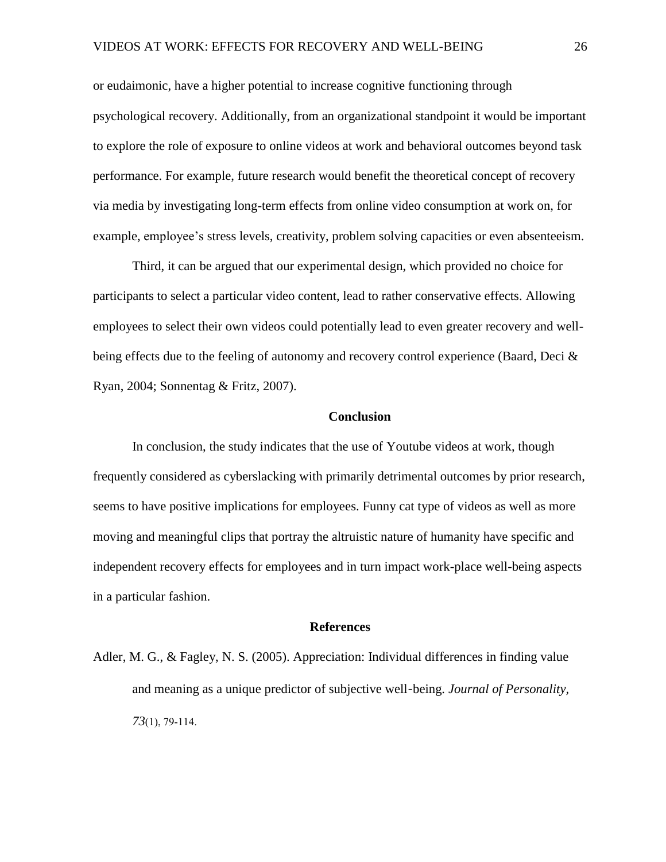or eudaimonic, have a higher potential to increase cognitive functioning through psychological recovery. Additionally, from an organizational standpoint it would be important to explore the role of exposure to online videos at work and behavioral outcomes beyond task performance. For example, future research would benefit the theoretical concept of recovery via media by investigating long-term effects from online video consumption at work on, for example, employee's stress levels, creativity, problem solving capacities or even absenteeism.

Third, it can be argued that our experimental design, which provided no choice for participants to select a particular video content, lead to rather conservative effects. Allowing employees to select their own videos could potentially lead to even greater recovery and wellbeing effects due to the feeling of autonomy and recovery control experience (Baard, Deci & Ryan, 2004; Sonnentag & Fritz, 2007).

#### **Conclusion**

In conclusion, the study indicates that the use of Youtube videos at work, though frequently considered as cyberslacking with primarily detrimental outcomes by prior research, seems to have positive implications for employees. Funny cat type of videos as well as more moving and meaningful clips that portray the altruistic nature of humanity have specific and independent recovery effects for employees and in turn impact work-place well-being aspects in a particular fashion.

#### **References**

Adler, M. G., & Fagley, N. S. (2005). Appreciation: Individual differences in finding value and meaning as a unique predictor of subjective well‐being. *Journal of Personality, 73*(1), 79-114.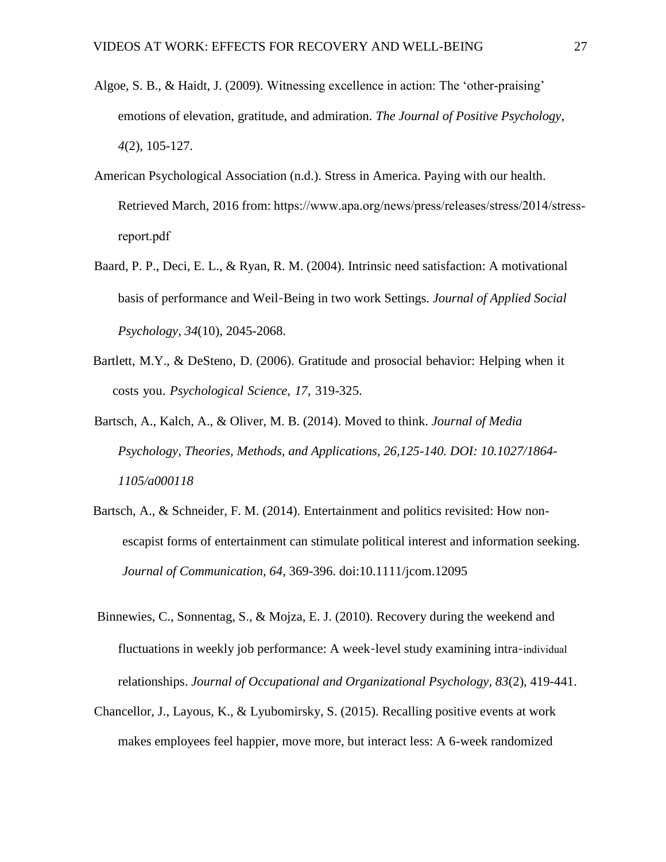- Algoe, S. B., & Haidt, J. (2009). Witnessing excellence in action: The 'other-praising' emotions of elevation, gratitude, and admiration. *The Journal of Positive Psychology, 4*(2), 105-127.
- American Psychological Association (n.d.). Stress in America. Paying with our health. Retrieved March, 2016 from: https://www.apa.org/news/press/releases/stress/2014/stressreport.pdf
- Baard, P. P., Deci, E. L., & Ryan, R. M. (2004). Intrinsic need satisfaction: A motivational basis of performance and Weil‐Being in two work Settings. *Journal of Applied Social Psychology, 34*(10), 2045-2068.
- Bartlett, M.Y., & DeSteno, D. (2006). Gratitude and prosocial behavior: Helping when it costs you. *Psychological Science*, *17*, 319-325.
- Bartsch, A., Kalch, A., & Oliver, M. B. (2014). Moved to think. *Journal of Media Psychology, Theories, Methods, and Applications, 26,125-140. DOI: 10.1027/1864- 1105/a000118*
- Bartsch, A., & Schneider, F. M. (2014). Entertainment and politics revisited: How nonescapist forms of entertainment can stimulate political interest and information seeking. *Journal of Communication, 64*, 369-396. doi:10.1111/jcom.12095
- Binnewies, C., Sonnentag, S., & Mojza, E. J. (2010). Recovery during the weekend and fluctuations in weekly job performance: A week‐level study examining intra‐individual relationships. *Journal of Occupational and Organizational Psychology, 83*(2), 419-441.
- Chancellor, J., Layous, K., & Lyubomirsky, S. (2015). Recalling positive events at work makes employees feel happier, move more, but interact less: A 6-week randomized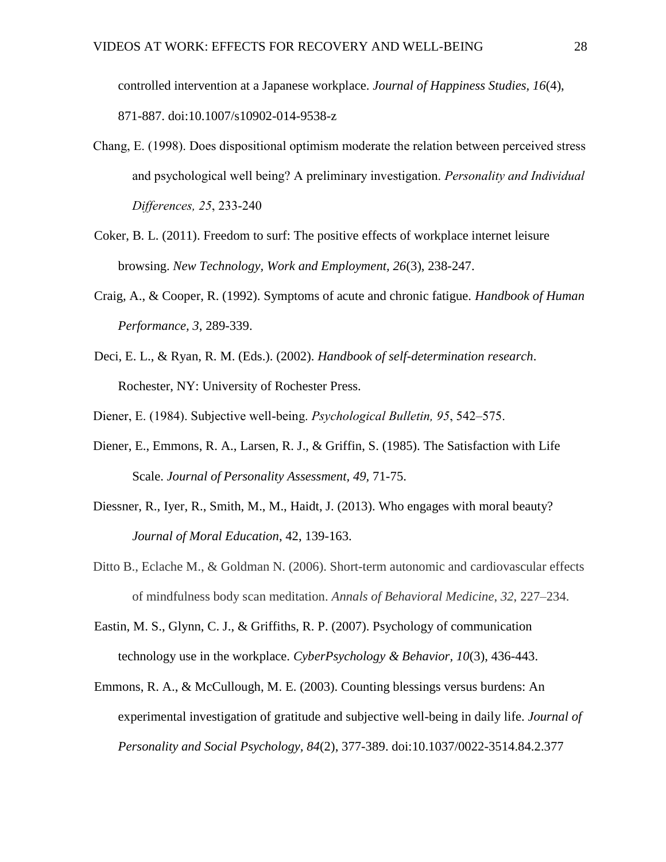controlled intervention at a Japanese workplace. *Journal of Happiness Studies, 16*(4), 871-887. doi:10.1007/s10902-014-9538-z

- Chang, E. (1998). Does dispositional optimism moderate the relation between perceived stress and psychological well being? A preliminary investigation. *Personality and Individual Differences, 25*, 233-240
- Coker, B. L. (2011). Freedom to surf: The positive effects of workplace internet leisure browsing. *New Technology, Work and Employment, 26*(3), 238-247.
- Craig, A., & Cooper, R. (1992). Symptoms of acute and chronic fatigue. *Handbook of Human Performance, 3*, 289-339.
- Deci, E. L., & Ryan, R. M. (Eds.). (2002). *Handbook of self-determination research*. Rochester, NY: University of Rochester Press.
- Diener, E. (1984). Subjective well-being. *Psychological Bulletin, 95*, 542–575.
- Diener, E., Emmons, R. A., Larsen, R. J., & Griffin, S. (1985). The Satisfaction with Life Scale. *Journal of Personality Assessment, 49,* 71-75.
- Diessner, R., Iyer, R., Smith, M., M., Haidt, J. (2013). Who engages with moral beauty? *Journal of Moral Education*, 42, 139-163.
- Ditto B., Eclache M., & Goldman N. (2006). Short-term autonomic and cardiovascular effects of mindfulness body scan meditation. *Annals of Behavioral Medicine*, *32*, 227–234.
- Eastin, M. S., Glynn, C. J., & Griffiths, R. P. (2007). Psychology of communication technology use in the workplace. *CyberPsychology & Behavior, 10*(3), 436-443.
- Emmons, R. A., & McCullough, M. E. (2003). Counting blessings versus burdens: An experimental investigation of gratitude and subjective well-being in daily life. *Journal of Personality and Social Psychology, 84*(2), 377-389. doi:10.1037/0022-3514.84.2.377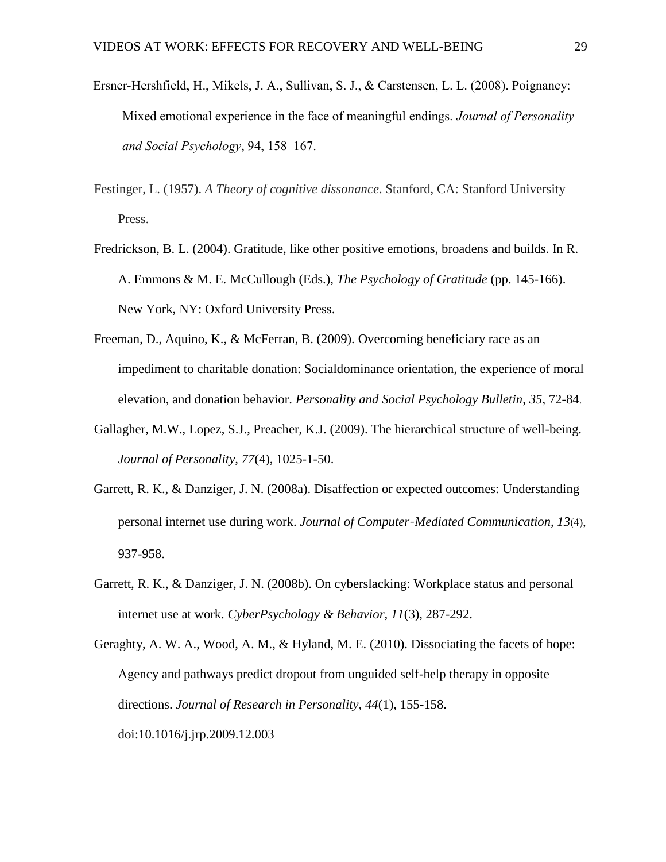- Ersner-Hershfield, H., Mikels, J. A., Sullivan, S. J., & Carstensen, L. L. (2008). Poignancy: Mixed emotional experience in the face of meaningful endings. *Journal of Personality and Social Psychology*, 94, 158–167.
- Festinger, L. (1957). *A Theory of cognitive dissonance*. Stanford, CA: Stanford University Press.
- Fredrickson, B. L. (2004). Gratitude, like other positive emotions, broadens and builds. In R. A. Emmons & M. E. McCullough (Eds.), *The Psychology of Gratitude* (pp. 145-166). New York, NY: Oxford University Press.
- Freeman, D., Aquino, K., & McFerran, B. (2009). Overcoming beneficiary race as an impediment to charitable donation: Socialdominance orientation, the experience of moral elevation, and donation behavior. *Personality and Social Psychology Bulletin*, *35*, 72-84.
- Gallagher, M.W., Lopez, S.J., Preacher, K.J. (2009). The hierarchical structure of well-being. *Journal of Personality, 77*(4), 1025-1-50.
- Garrett, R. K., & Danziger, J. N. (2008a). Disaffection or expected outcomes: Understanding personal internet use during work. *Journal of Computer‐Mediated Communication, 13*(4), 937-958.
- Garrett, R. K., & Danziger, J. N. (2008b). On cyberslacking: Workplace status and personal internet use at work. *CyberPsychology & Behavior, 11*(3), 287-292.
- Geraghty, A. W. A., Wood, A. M., & Hyland, M. E. (2010). Dissociating the facets of hope: Agency and pathways predict dropout from unguided self-help therapy in opposite directions. *Journal of Research in Personality, 44*(1), 155-158. doi:10.1016/j.jrp.2009.12.003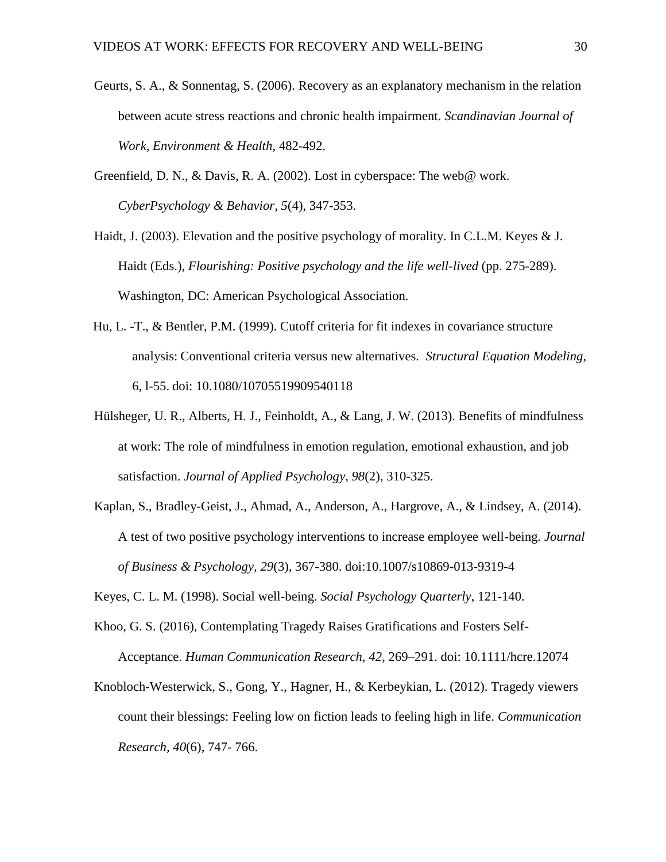- Geurts, S. A., & Sonnentag, S. (2006). Recovery as an explanatory mechanism in the relation between acute stress reactions and chronic health impairment. *Scandinavian Journal of Work, Environment & Health*, 482-492.
- Greenfield, D. N., & Davis, R. A. (2002). Lost in cyberspace: The web@ work. *CyberPsychology & Behavior, 5*(4), 347-353.
- Haidt, J. (2003). Elevation and the positive psychology of morality. In C.L.M. Keyes & J. Haidt (Eds.), *Flourishing: Positive psychology and the life well-lived* (pp. 275-289). Washington, DC: American Psychological Association.
- Hu, L. -T., & Bentler, P.M. (1999). Cutoff criteria for fit indexes in covariance structure analysis: Conventional criteria versus new alternatives. *Structural Equation Modeling,*  6, l-55. doi: 10.1080/10705519909540118
- Hülsheger, U. R., Alberts, H. J., Feinholdt, A., & Lang, J. W. (2013). Benefits of mindfulness at work: The role of mindfulness in emotion regulation, emotional exhaustion, and job satisfaction. *Journal of Applied Psychology, 98*(2), 310-325.
- Kaplan, S., Bradley-Geist, J., Ahmad, A., Anderson, A., Hargrove, A., & Lindsey, A. (2014). A test of two positive psychology interventions to increase employee well-being. *Journal of Business & Psychology, 29*(3), 367-380. doi:10.1007/s10869-013-9319-4
- Keyes, C. L. M. (1998). Social well-being. *Social Psychology Quarterly*, 121-140.
- Khoo, G. S. (2016), Contemplating Tragedy Raises Gratifications and Fosters Self-Acceptance. *Human Communication Research, 42*, 269–291. doi: 10.1111/hcre.12074
- Knobloch-Westerwick, S., Gong, Y., Hagner, H., & Kerbeykian, L. (2012). Tragedy viewers count their blessings: Feeling low on fiction leads to feeling high in life. *Communication Research, 40*(6), 747- 766.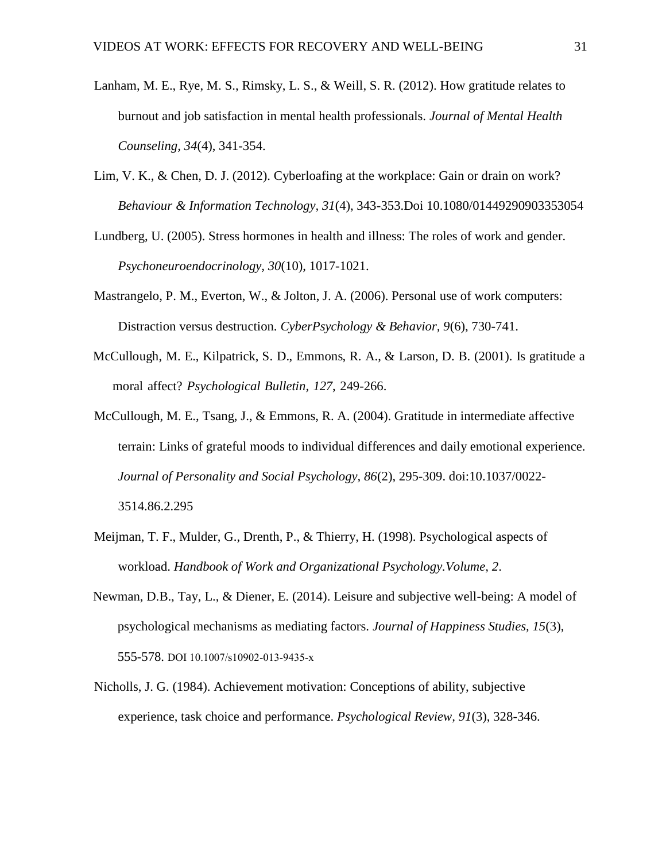- Lanham, M. E., Rye, M. S., Rimsky, L. S., & Weill, S. R. (2012). How gratitude relates to burnout and job satisfaction in mental health professionals. *Journal of Mental Health Counseling, 34*(4), 341-354.
- Lim, V. K., & Chen, D. J. (2012). Cyberloafing at the workplace: Gain or drain on work? *Behaviour & Information Technology, 31*(4), 343-353.Doi 10.1080/01449290903353054
- Lundberg, U. (2005). Stress hormones in health and illness: The roles of work and gender. *Psychoneuroendocrinology, 30*(10), 1017-1021.
- Mastrangelo, P. M., Everton, W., & Jolton, J. A. (2006). Personal use of work computers: Distraction versus destruction. *CyberPsychology & Behavior, 9*(6), 730-741.
- McCullough, M. E., Kilpatrick, S. D., Emmons, R. A., & Larson, D. B. (2001). Is gratitude a moral affect? *Psychological Bulletin, 127*, 249-266.
- McCullough, M. E., Tsang, J., & Emmons, R. A. (2004). Gratitude in intermediate affective terrain: Links of grateful moods to individual differences and daily emotional experience. *Journal of Personality and Social Psychology, 86*(2), 295-309. doi:10.1037/0022- 3514.86.2.295
- Meijman, T. F., Mulder, G., Drenth, P., & Thierry, H. (1998). Psychological aspects of workload. *Handbook of Work and Organizational Psychology.Volume, 2*.
- Newman, D.B., Tay, L., & Diener, E. (2014). Leisure and subjective well-being: A model of psychological mechanisms as mediating factors. *Journal of Happiness Studies, 15*(3), 555-578. DOI 10.1007/s10902-013-9435-x
- Nicholls, J. G. (1984). Achievement motivation: Conceptions of ability, subjective experience, task choice and performance. *Psychological Review, 91*(3), 328-346.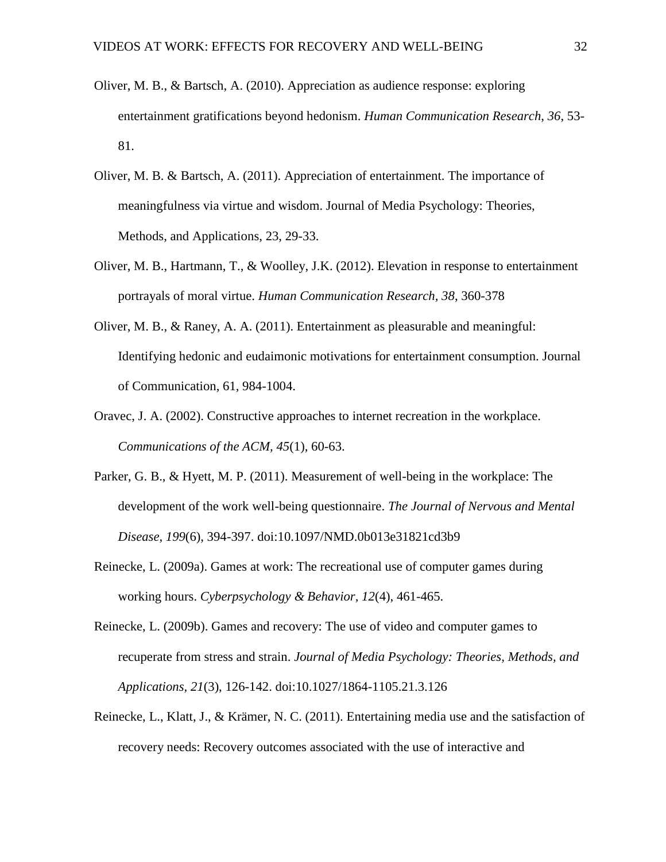- Oliver, M. B., & Bartsch, A. (2010). Appreciation as audience response: exploring entertainment gratifications beyond hedonism. *Human Communication Research*, *36*, 53- 81.
- Oliver, M. B. & Bartsch, A. (2011). Appreciation of entertainment. The importance of meaningfulness via virtue and wisdom. Journal of Media Psychology: Theories, Methods, and Applications, 23, 29-33.
- Oliver, M. B., Hartmann, T., & Woolley, J.K. (2012). Elevation in response to entertainment portrayals of moral virtue. *Human Communication Research, 38*, 360-378
- Oliver, M. B., & Raney, A. A. (2011). Entertainment as pleasurable and meaningful: Identifying hedonic and eudaimonic motivations for entertainment consumption. Journal of Communication, 61, 984-1004.
- Oravec, J. A. (2002). Constructive approaches to internet recreation in the workplace. *Communications of the ACM, 45*(1), 60-63.
- Parker, G. B., & Hyett, M. P. (2011). Measurement of well-being in the workplace: The development of the work well-being questionnaire. *The Journal of Nervous and Mental Disease, 199*(6), 394-397. doi:10.1097/NMD.0b013e31821cd3b9
- Reinecke, L. (2009a). Games at work: The recreational use of computer games during working hours. *Cyberpsychology & Behavior, 12*(4), 461-465.
- Reinecke, L. (2009b). Games and recovery: The use of video and computer games to recuperate from stress and strain. *Journal of Media Psychology: Theories, Methods, and Applications, 21*(3), 126-142. doi:10.1027/1864-1105.21.3.126
- Reinecke, L., Klatt, J., & Krämer, N. C. (2011). Entertaining media use and the satisfaction of recovery needs: Recovery outcomes associated with the use of interactive and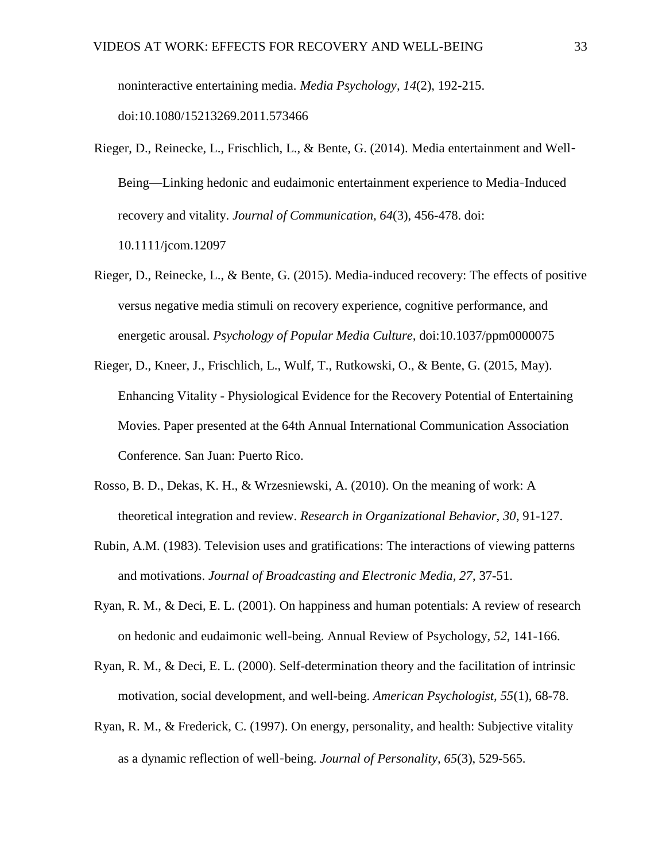noninteractive entertaining media. *Media Psychology, 14*(2), 192-215. doi:10.1080/15213269.2011.573466

- Rieger, D., Reinecke, L., Frischlich, L., & Bente, G. (2014). Media entertainment and Well‐ Being—Linking hedonic and eudaimonic entertainment experience to Media‐Induced recovery and vitality. *Journal of Communication, 64*(3), 456-478. doi: 10.1111/jcom.12097
- Rieger, D., Reinecke, L., & Bente, G. (2015). Media-induced recovery: The effects of positive versus negative media stimuli on recovery experience, cognitive performance, and energetic arousal. *Psychology of Popular Media Culture,* doi:10.1037/ppm0000075
- Rieger, D., Kneer, J., Frischlich, L., Wulf, T., Rutkowski, O., & Bente, G. (2015, May). Enhancing Vitality - Physiological Evidence for the Recovery Potential of Entertaining Movies. Paper presented at the 64th Annual International Communication Association Conference. San Juan: Puerto Rico.
- Rosso, B. D., Dekas, K. H., & Wrzesniewski, A. (2010). On the meaning of work: A theoretical integration and review. *Research in Organizational Behavior, 30*, 91-127.
- Rubin, A.M. (1983). Television uses and gratifications: The interactions of viewing patterns and motivations. *Journal of Broadcasting and Electronic Media, 27*, 37-51.
- Ryan, R. M., & Deci, E. L. (2001). On happiness and human potentials: A review of research on hedonic and eudaimonic well-being. Annual Review of Psychology, *52*, 141-166.
- Ryan, R. M., & Deci, E. L. (2000). Self-determination theory and the facilitation of intrinsic motivation, social development, and well-being. *American Psychologist, 55*(1), 68-78.
- Ryan, R. M., & Frederick, C. (1997). On energy, personality, and health: Subjective vitality as a dynamic reflection of well‐being. *Journal of Personality, 65*(3), 529-565.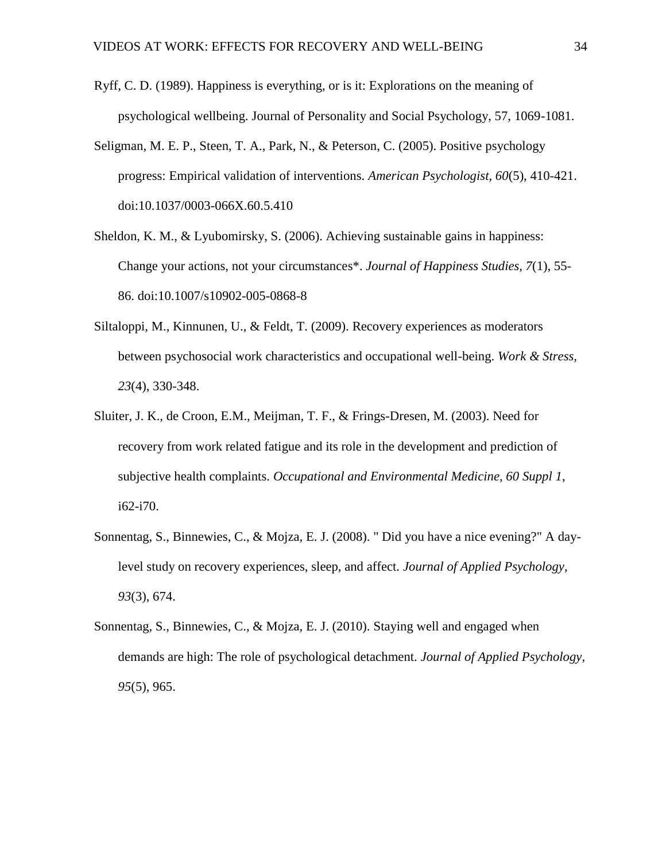- Ryff, C. D. (1989). Happiness is everything, or is it: Explorations on the meaning of psychological wellbeing. Journal of Personality and Social Psychology, 57, 1069-1081.
- Seligman, M. E. P., Steen, T. A., Park, N., & Peterson, C. (2005). Positive psychology progress: Empirical validation of interventions. *American Psychologist, 60*(5), 410-421. doi:10.1037/0003-066X.60.5.410
- Sheldon, K. M., & Lyubomirsky, S. (2006). Achieving sustainable gains in happiness: Change your actions, not your circumstances\*. *Journal of Happiness Studies, 7*(1), 55- 86. doi:10.1007/s10902-005-0868-8
- Siltaloppi, M., Kinnunen, U., & Feldt, T. (2009). Recovery experiences as moderators between psychosocial work characteristics and occupational well-being. *Work & Stress, 23*(4), 330-348.
- Sluiter, J. K., de Croon, E.M., Meijman, T. F., & Frings-Dresen, M. (2003). Need for recovery from work related fatigue and its role in the development and prediction of subjective health complaints. *Occupational and Environmental Medicine, 60 Suppl 1*, i62-i70.
- Sonnentag, S., Binnewies, C., & Mojza, E. J. (2008). " Did you have a nice evening?" A daylevel study on recovery experiences, sleep, and affect. *Journal of Applied Psychology, 93*(3), 674.
- Sonnentag, S., Binnewies, C., & Mojza, E. J. (2010). Staying well and engaged when demands are high: The role of psychological detachment. *Journal of Applied Psychology, 95*(5), 965.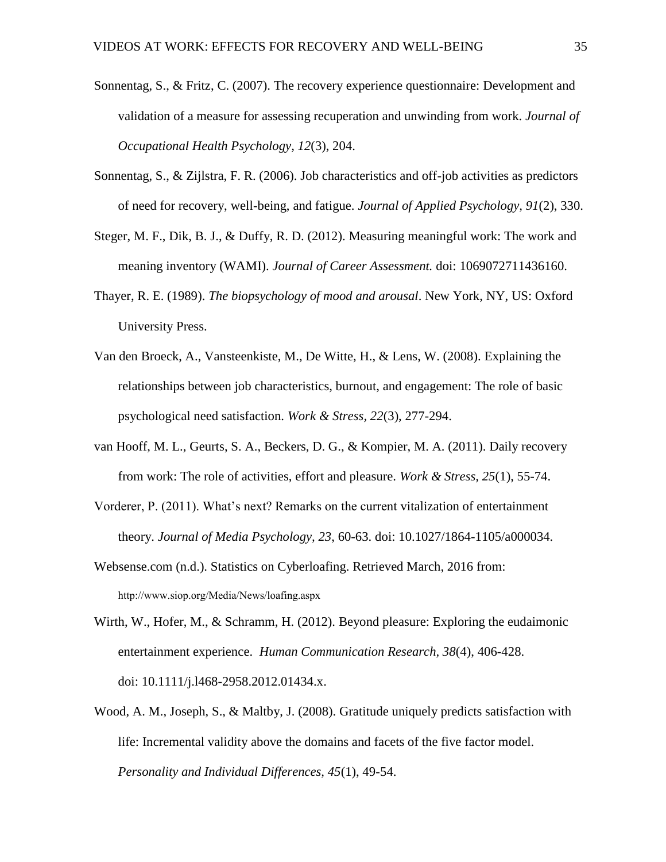- Sonnentag, S., & Fritz, C. (2007). The recovery experience questionnaire: Development and validation of a measure for assessing recuperation and unwinding from work. *Journal of Occupational Health Psychology, 12*(3), 204.
- Sonnentag, S., & Zijlstra, F. R. (2006). Job characteristics and off-job activities as predictors of need for recovery, well-being, and fatigue. *Journal of Applied Psychology, 91*(2), 330.
- Steger, M. F., Dik, B. J., & Duffy, R. D. (2012). Measuring meaningful work: The work and meaning inventory (WAMI). *Journal of Career Assessment.* doi: 1069072711436160.
- Thayer, R. E. (1989). *The biopsychology of mood and arousal*. New York, NY, US: Oxford University Press.
- Van den Broeck, A., Vansteenkiste, M., De Witte, H., & Lens, W. (2008). Explaining the relationships between job characteristics, burnout, and engagement: The role of basic psychological need satisfaction. *Work & Stress, 22*(3), 277-294.
- van Hooff, M. L., Geurts, S. A., Beckers, D. G., & Kompier, M. A. (2011). Daily recovery from work: The role of activities, effort and pleasure. *Work & Stress, 25*(1), 55-74.
- Vorderer, P. (2011). What's next? Remarks on the current vitalization of entertainment theory. *Journal of Media Psychology, 23*, 60-63. doi: 10.1027/1864-1105/a000034.
- Websense.com (n.d.). Statistics on Cyberloafing. Retrieved March, 2016 from: http://www.siop.org/Media/News/loafing.aspx
- Wirth, W., Hofer, M., & Schramm, H. (2012). Beyond pleasure: Exploring the eudaimonic entertainment experience. *Human Communication Research, 38*(4), 406-428. doi: 10.1111/j.l468-2958.2012.01434.x.
- Wood, A. M., Joseph, S., & Maltby, J. (2008). Gratitude uniquely predicts satisfaction with life: Incremental validity above the domains and facets of the five factor model. *Personality and Individual Differences, 45*(1), 49-54.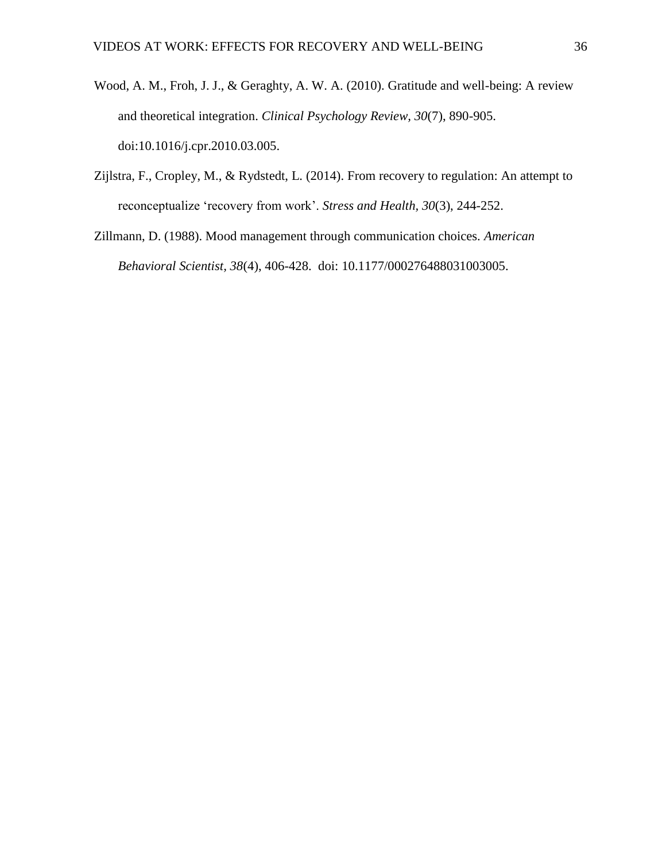- Wood, A. M., Froh, J. J., & Geraghty, A. W. A. (2010). Gratitude and well-being: A review and theoretical integration. *Clinical Psychology Review, 30*(7), 890-905. doi:10.1016/j.cpr.2010.03.005.
- Zijlstra, F., Cropley, M., & Rydstedt, L. (2014). From recovery to regulation: An attempt to reconceptualize 'recovery from work'. *Stress and Health, 30*(3), 244-252.
- Zillmann, D. (1988). Mood management through communication choices. *American Behavioral Scientist, 38*(4), 406-428. doi: 10.1177/000276488031003005.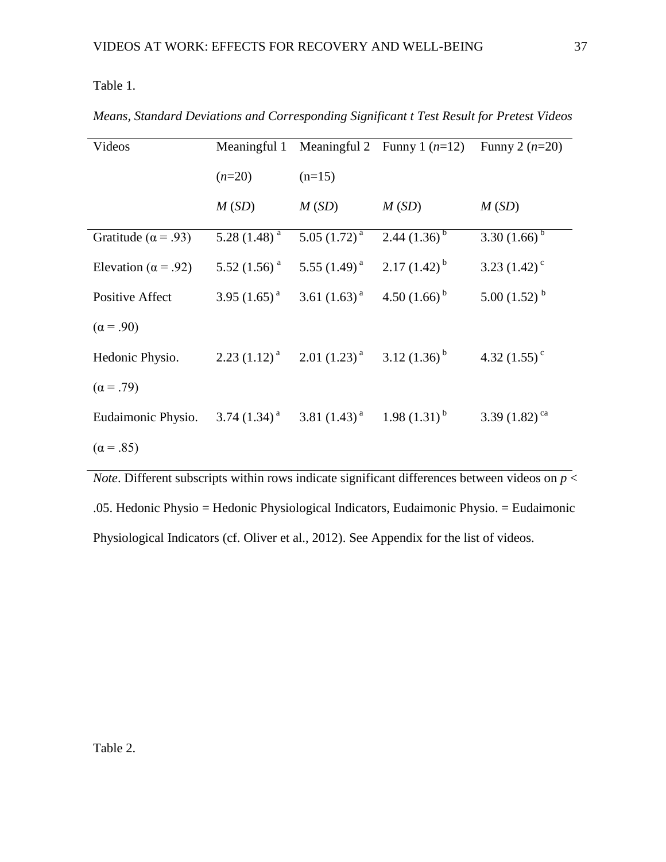Table 1.

| Videos                      |                   |                                                                            | Meaningful 1 Meaningful 2 Funny 1 $(n=12)$ Funny 2 $(n=20)$ |                             |
|-----------------------------|-------------------|----------------------------------------------------------------------------|-------------------------------------------------------------|-----------------------------|
|                             | $(n=20)$          | $(n=15)$                                                                   |                                                             |                             |
|                             | M(SD)             | M(SD)                                                                      | M(SD)                                                       | M(SD)                       |
| Gratitude ( $\alpha$ = .93) | 5.28 $(1.48)^{a}$ | $5.05 \left(1.72\right)^a$                                                 | $2.44(1.36)^{b}$                                            | 3.30 $(1.66)^b$             |
| Elevation ( $\alpha$ = .92) |                   | 5.52 (1.56) <sup>a</sup> 5.55 (1.49) <sup>a</sup> 2.17 (1.42) <sup>b</sup> |                                                             | 3.23 $(1.42)$ <sup>c</sup>  |
| Positive Affect             |                   | 3.95 $(1.65)^{a}$ 3.61 $(1.63)^{a}$ 4.50 $(1.66)^{b}$                      |                                                             | 5.00 $(1.52)^{b}$           |
| $(\alpha = .90)$            |                   |                                                                            |                                                             |                             |
| Hedonic Physio.             |                   | 2.23 (1.12) <sup>a</sup> 2.01 (1.23) <sup>a</sup> 3.12 (1.36) <sup>b</sup> |                                                             | 4.32 $(1.55)^{\circ}$       |
| $(\alpha = .79)$            |                   |                                                                            |                                                             |                             |
| Eudaimonic Physio.          |                   | 3.74 $(1.34)^a$ 3.81 $(1.43)^a$ 1.98 $(1.31)^b$                            |                                                             | 3.39 $(1.82)$ <sup>ca</sup> |
| $(\alpha = .85)$            |                   |                                                                            |                                                             |                             |

*Means, Standard Deviations and Corresponding Significant t Test Result for Pretest Videos*

*Note*. Different subscripts within rows indicate significant differences between videos on  $p <$ .05. Hedonic Physio = Hedonic Physiological Indicators, Eudaimonic Physio. = Eudaimonic Physiological Indicators (cf. Oliver et al., 2012). See Appendix for the list of videos.

Table 2.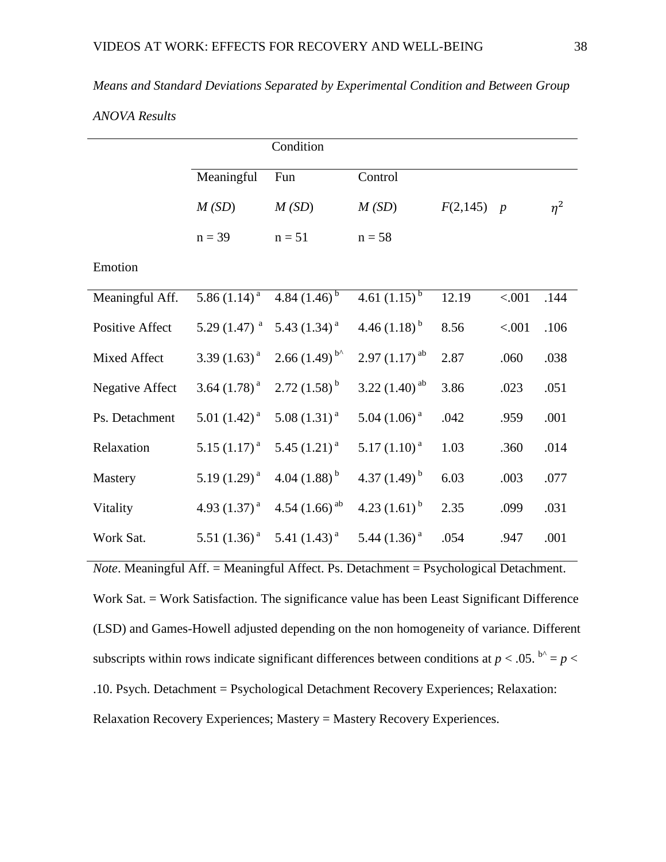| Means and Standard Deviations Separated by Experimental Condition and Between Group |
|-------------------------------------------------------------------------------------|
|-------------------------------------------------------------------------------------|

### *ANOVA Results*

|                        |                            | Condition                   |                              |              |        |          |
|------------------------|----------------------------|-----------------------------|------------------------------|--------------|--------|----------|
|                        | Meaningful                 | Fun                         | Control                      |              |        |          |
|                        | M(SD)                      | M(SD)                       | M(SD)                        | $F(2,145)$ p |        | $\eta^2$ |
|                        | $n = 39$                   | $n = 51$                    | $n = 58$                     |              |        |          |
| Emotion                |                            |                             |                              |              |        |          |
| Meaningful Aff.        | 5.86 $(1.\overline{14})^a$ | 4.84 $(\overline{1.46})^b$  | 4.61 $\overline{(1.15)^{b}}$ | 12.19        | < .001 | .144     |
| Positive Affect        | 5.29 $(1.47)^{a}$          | 5.43 $(1.34)^{a}$           | 4.46 $(1.18)^{b}$            | 8.56         | < .001 | .106     |
| Mixed Affect           | 3.39 $(1.63)^{a}$          | $2.66(1.49)^{b}$            | $2.97(1.17)^{ab}$            | 2.87         | .060   | .038     |
| <b>Negative Affect</b> | 3.64 $(1.78)^{a}$          | $2.72(1.58)^{b}$            | 3.22 $(1.40)^{ab}$           | 3.86         | .023   | .051     |
| Ps. Detachment         | 5.01 $(1.42)^{a}$          | $5.08(1.31)^{a}$            | $5.04(1.06)^{a}$             | .042         | .959   | .001     |
| Relaxation             | 5.15 $(1.17)^{a}$          | 5.45 $(1.21)^{a}$           | $5.17(1.10)^{a}$             | 1.03         | .360   | .014     |
| Mastery                | 5.19 $(1.29)^{a}$          | 4.04 $(1.88)^{b}$           | 4.37 $(1.49)^{b}$            | 6.03         | .003   | .077     |
| Vitality               | 4.93 $(1.37)^{a}$          | 4.54 $(1.66)$ <sup>ab</sup> | 4.23 $(1.61)^{b}$            | 2.35         | .099   | .031     |
| Work Sat.              | 5.51 $(1.36)^{a}$          | 5.41 $(1.43)^{a}$           | 5.44 $(1.36)^{a}$            | .054         | .947   | .001     |

*Note*. Meaningful Aff. = Meaningful Affect. Ps. Detachment = Psychological Detachment. Work Sat. = Work Satisfaction. The significance value has been Least Significant Difference (LSD) and Games-Howell adjusted depending on the non homogeneity of variance. Different subscripts within rows indicate significant differences between conditions at  $p < .05$ .  $b^0 = p <$ .10. Psych. Detachment = Psychological Detachment Recovery Experiences; Relaxation: Relaxation Recovery Experiences; Mastery = Mastery Recovery Experiences.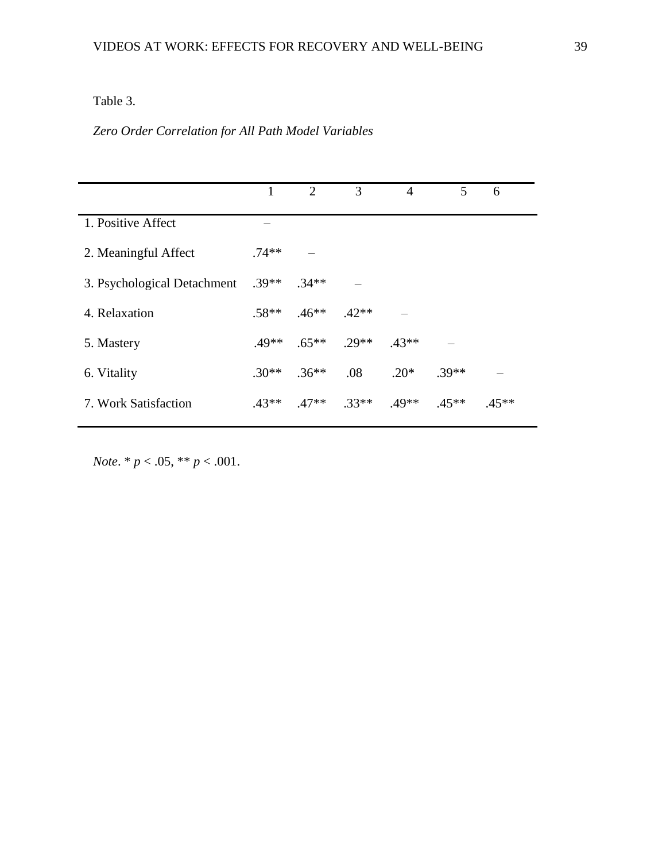## Table 3.

### *Zero Order Correlation for All Path Model Variables*

|                             | 1       | 2        | 3       | $\overline{4}$ | 5       | 6       |  |
|-----------------------------|---------|----------|---------|----------------|---------|---------|--|
| 1. Positive Affect          |         |          |         |                |         |         |  |
| 2. Meaningful Affect        | $.74**$ |          |         |                |         |         |  |
| 3. Psychological Detachment | $.39**$ | $.34**$  |         |                |         |         |  |
| 4. Relaxation               | $.58**$ | $.46**$  | $.42**$ |                |         |         |  |
| 5. Mastery                  | $.49**$ | $.65***$ | $.29**$ | $.43**$        |         |         |  |
| 6. Vitality                 | $.30**$ | $.36**$  | .08     | $.20*$         | $.39**$ |         |  |
| 7. Work Satisfaction        | $43**$  | $47**$   | $.33**$ | $.49**$        | $.45**$ | $.45**$ |  |

*Note*. \* *p* < .05, \*\* *p* < .001.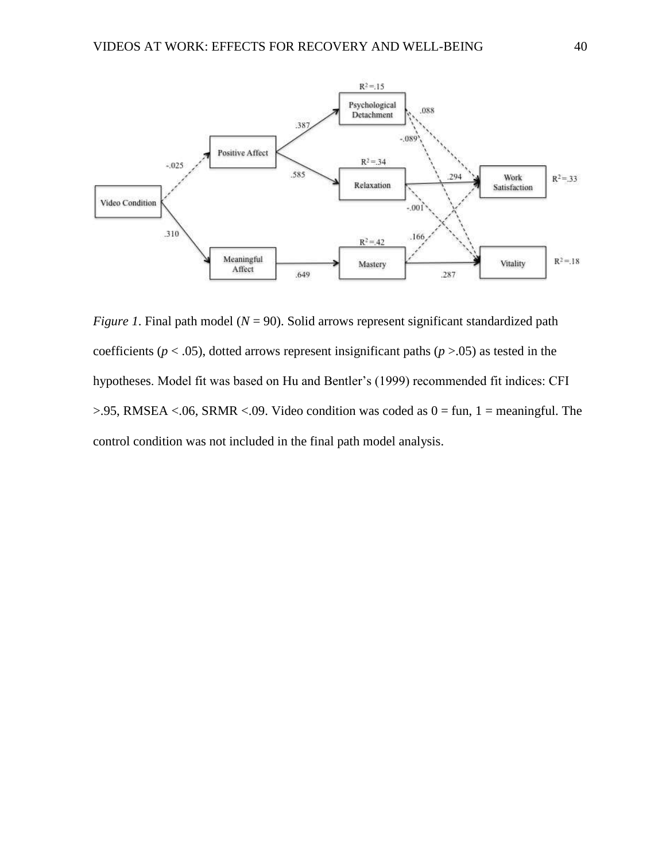

*Figure 1*. Final path model ( $N = 90$ ). Solid arrows represent significant standardized path coefficients ( $p < .05$ ), dotted arrows represent insignificant paths ( $p > .05$ ) as tested in the hypotheses. Model fit was based on Hu and Bentler's (1999) recommended fit indices: CFI  $> 0.95$ , RMSEA <.06, SRMR <.09. Video condition was coded as  $0 = \text{fun}$ , 1 = meaningful. The control condition was not included in the final path model analysis.